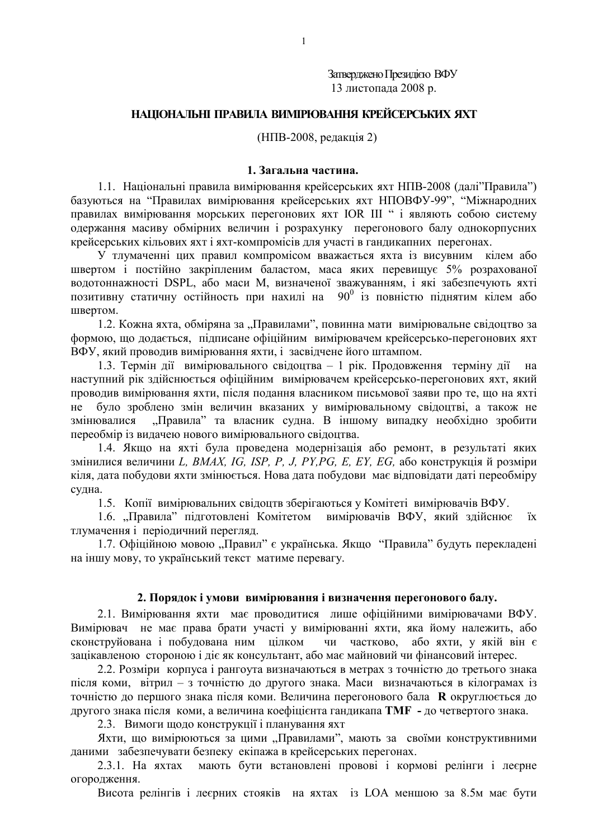Затверджено Президією ВФУ 13 листопада 2008 р.

# НАЦІОНАЛЬНІ ПРАВИЛА ВИМІРЮВАННЯ КРЕЙСЕРСЬКИХ ЯХТ

(НПВ-2008, редакція 2)

### 1. Загальна частина.

1.1. Національні правила вимірювання крейсерських яхт НПВ-2008 (далі"Правила") базуються на "Правилах вимірювання крейсерських яхт НПОВФУ-99", "Міжнародних правилах вимірювання морських перегонових яхт IOR III " і являють собою систему одержання масиву обмірних величин і розрахунку перегонового балу однокорпусних крейсерських кільових яхт і яхт-компромісів для участі в гандикапних перегонах.

У тлумаченні цих правил компромісом вважається яхта із висувним кілем або швертом і постійно закріпленим баластом, маса яких перевищує 5% розрахованої водотоннажності DSPL, або маси М, визначеної зважуванням, і які забезпечують яхті позитивну статичну остійность при нахилі на  $90^0$  із повністю піднятим кілем або швертом.

1.2. Кожна яхта, обміряна за "Правилами", повинна мати вимірювальне свідоцтво за формою, що додається, підписане офіційним вимірювачем крейсерсько-перегонових яхт ВФУ, який проводив вимірювання яхти, і засвідчене його штампом.

1.3. Термін лії вимірювального свілоцтва - 1 рік. Продовження терміну лії на наступний рік здійснюється офіційним вимірювачем крейсерсько-перегонових яхт, який проводив вимірювання яхти, після подання власником письмової заяви про те, що на яхті було зроблено змін величин вказаних у вимірювальному свідоцтві, а також не  $He$ "Правила" та власник судна. В іншому випадку необхідно зробити змінювалися переобмір із видачею нового вимірювального свідоцтва.

1.4. Якщо на яхті була проведена модернізація або ремонт, в результаті яких змінилися величини L, BMAX, IG, ISP, P, J, PY, PG, E, EY, EG, або конструкція й розміри кіля, дата побудови яхти змінюється. Нова дата побудови має відповідати даті переобміру судна.

1.5. Копії вимірювальних свідоцтв зберігаються у Комітеті вимірювачів ВФУ.

1.6. Правила" підготовлені Комітетом вимірювачів ВФУ, який здійснює **ix** тлумачення і періодичний перегляд.

1.7. Офіційною мовою "Правил" є українська. Якщо "Правила" будуть перекладені на іншу мову, то український текст матиме перевагу.

## 2. Порядок і умови вимірювання і визначення перегонового балу.

2.1. Вимірювання яхти має проводитися лише офіційними вимірювачами ВФУ. Вимірювач не має права брати участі у вимірюванні яхти, яка йому належить, або сконструйована і побудована ним цілком чи частково, або яхти, у якій він є зацікавленою стороною і діє як консультант, або має майновий чи фінансовий інтерес.

2.2. Розміри корпуса і рангоута визначаються в метрах з точністю до третього знака після коми, вітрил - з точністю до другого знака. Маси визначаються в кілограмах із точністю до першого знака після коми. Величина перегонового бала **R** округлюється до другого знака після коми, а величина коефіцієнта гандикапа ТМГ - до четвертого знака.

2.3. Вимоги щодо конструкції і планування яхт

Яхти, що вимірюються за цими "Правилами", мають за своїми конструктивними даними забезпечувати безпеку екіпажа в крейсерських перегонах.

мають бути встановлені провові і кормові релінги і леєрне 2.3.1. На яхтах огородження.

Висота релінгів і леєрних стояків на яхтах із LOA меншою за 8.5м має бути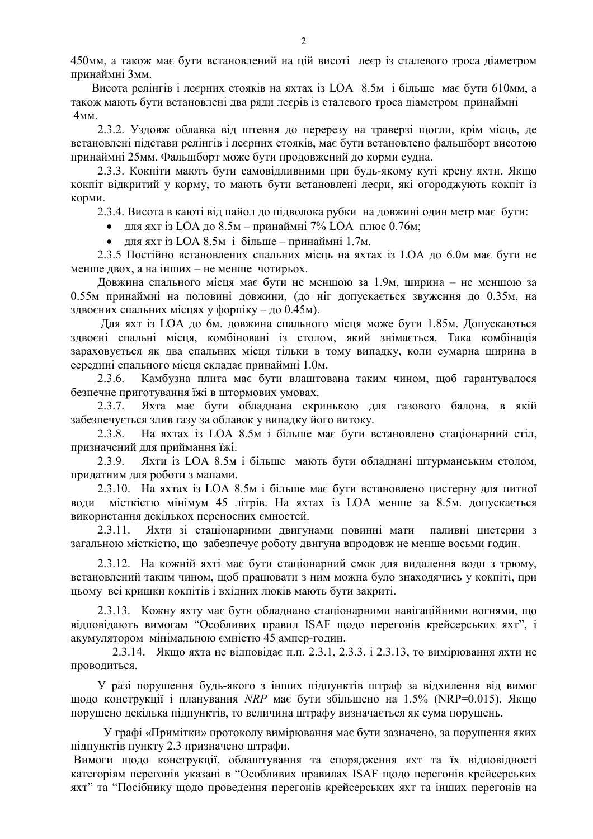450мм, а також має бути встановлений на цій висоті леєр із сталевого троса діаметром принаймні Змм.

Висота релінгів і леєрних стояків на яхтах із LOA 8.5м і більше має бути 610мм, а також мають бути встановлені два ряди леєрів із сталевого троса діаметром принаймні  $4<sub>MM</sub>$ 

2.3.2. Узловж облавка віл штевня до перерезу на траверзі шогли, крім місць, де встановлені підстави релінгів і леєрних стояків, має бути встановлено фальшборт висотою принаймні 25мм. Фальшборт може бути продовжений до корми судна.

2.3.3. Кокпіти мають бути самовідливними при будь-якому куті крену яхти. Якщо кокпіт відкритий у корму, то мають бути встановлені леєри, які огороджують кокпіт із корми.

2.3.4. Висота в каюті від пайол до підволока рубки на довжині один метр має бути:

- для яхт із LOA до 8.5м принаймні 7% LOA плюс 0.76м;
- для яхт із LOA 8.5м і більше принаймні 1.7м.

2.3.5 Постійно встановлених спальних місць на яхтах із LOA до 6.0м має бути не менше двох, а на інших - не менше чотирьох.

Довжина спального місця має бути не меншою за 1.9м, ширина - не меншою за 0.55м принаймні на половині довжини, (до ніг допускається звуження до 0.35м, на здвоєних спальних місцях у форпіку - до 0.45м).

Лля яхт із LOA до 6м. довжина спального місця може бути 1.85м. Лопускаються здвоєні спальні місця, комбіновані із столом, який знімається. Така комбінація зараховується як два спальних місця тільки в тому випадку, коли сумарна ширина в середині спального місця складає принаймні 1.0м.

Камбузна плита має бути влаштована таким чином, щоб гарантувалося  $2.3.6.$ безпечне приготування їжі в штормових умовах.

Яхта має бути обладнана скринькою для газового балона, в якій  $2.3.7.$ забезпечується злив газу за облавок у випадку його витоку.

 $2.3.8.$ На яхтах із LOA 8.5м і більше має бути встановлено стаціонарний стіл, призначений для приймання їжі.

Яхти із LOA 8.5м і більше мають бути обладнані штурманським столом,  $2.3.9.$ прилатним лля роботи з мапами.

2.3.10. На яхтах із LOA 8.5м і більше має бути встановлено цистерну для питної води місткістю мінімум 45 літрів. На яхтах із LOA менше за 8.5м. допускається використання декількох переносних ємностей.

Яхти зі стаціонарними двигунами повинні мати паливні цистерни з 2 3 1 1 загальною місткістю, що забезпечує роботу двигуна впродовж не менше восьми годин.

2.3.12. На кожній яхті має бути стаціонарний смок для видалення води з трюму, встановлений таким чином, щоб працювати з ним можна було знаходячись у кокпіті, при цьому всі кришки кокпітів і вхідних люків мають бути закриті.

2.3.13. Кожну яхту має бути обладнано стаціонарними навігаційними вогнями, що відповідають вимогам "Особливих правил ISAF щодо перегонів крейсерських яхт", і акумулятором мінімальною ємністю 45 ампер-годин.

2.3.14. Якщо яхта не відповідає п.п. 2.3.1, 2.3.3. і 2.3.13, то вимірювання яхти не проводиться.

У разі порушення буль-якого з інших пілпунктів штраф за вілхилення віл вимог щодо конструкції і планування NRP має бути збільшено на 1.5% (NRP=0.015). Якшо порушено декілька підпунктів, то величина штрафу визначається як сума порушень.

У графі «Примітки» протоколу вимірювання має бути зазначено, за порушення яких підпунктів пункту 2.3 призначено штрафи.

Вимоги щодо конструкції, облаштування та спорядження яхт та їх відповідності категоріям перегонів указані в "Особливих правилах ISAF щодо перегонів крейсерських яхт" та "Посібнику щодо проведення перегонів крейсерських яхт та інших перегонів на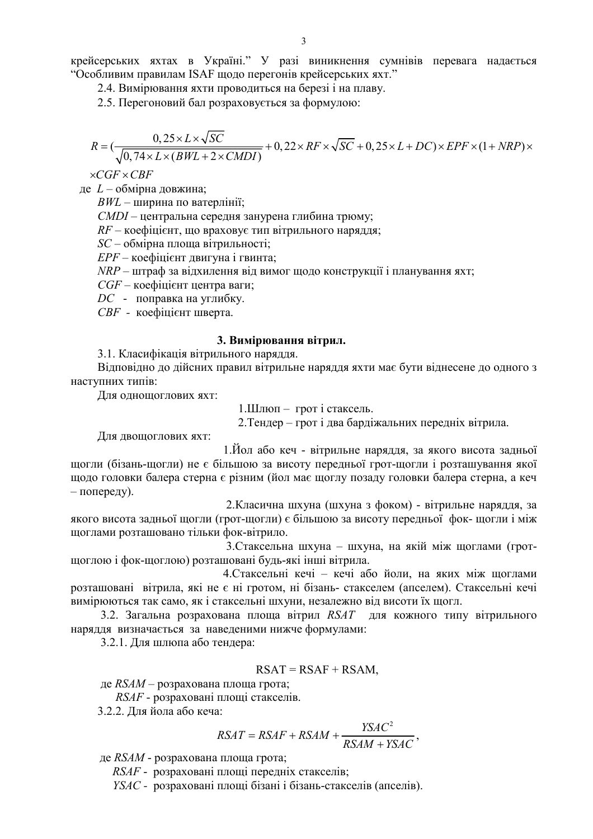2.4. Вимірювання яхти проводиться на березі і на плаву.

2.5. Перегоновий бал розраховується за формулою:

$$
R = (\frac{0,25 \times L \times \sqrt{SC}}{\sqrt{0,74 \times L \times (BWL + 2 \times CMDI)}} + 0,22 \times RF \times \sqrt{SC} + 0,25 \times L + DC) \times EPF \times (1 + NRP) \times
$$

 $\times CGF \times CBF$ 

де  $L$  – обмірна довжина;

 $BWL$  – ширина по ватерлінії;

СМDI - центральна середня занурена глибина трюму;

 $RF$  – коефіцієнт, що враховує тип вітрильного наряддя;

SC - обмірна площа вітрильності;

 $EPF$  – коефінієнт лвигуна і гвинта:

NRP - штраф за відхилення від вимог щодо конструкції і планування яхт;

CGF - коефіцієнт центра ваги;

DC - поправка на углибку.

СВЕ - коефішієнт шверта.

### 3. Вимірювання вітрил.

3.1. Класифікація вітрильного наряддя.

Відповідно до дійсних правил вітрильне наряддя яхти має бути віднесене до одного з наступних типів:

Для однощоглових яхт:

1.Шлюп - грот і стаксель.

2. Тендер – грот і два бардіжальних передніх вітрила.

Для двощоглових яхт:

1. Йол або кеч - вітрильне наряддя, за якого висота задньої щогли (бізань-щогли) не є більшою за висоту передньої грот-щогли і розташування якої шодо головки балера стерна є різним (йол має щоглу позаду головки балера стерна, а кеч  $-$  попереду).

2. Класична шхуна (шхуна з фоком) - вітрильне наряддя, за якого висота задньої щогли (грот-щогли) є більшою за висоту передньої фок- щогли і між щоглами розташовано тільки фок-вітрило.

3. Стаксельна шхуна - шхуна, на якій між щоглами (гротщоглою і фок-щоглою) розташовані будь-які інші вітрила.

4. Стаксельні кечі - кечі або йоли, на яких між щоглами розташовані вітрила, які не є ні гротом, ні бізань- стакселем (апселем). Стаксельні кечі вимірюються так само, як і стаксельні шхуни, незалежно від висоти їх щогл.

3.2. Загальна розрахована площа вітрил RSAT для кожного типу вітрильного наряддя визначається за наведеними нижче формулами:

3.2.1. Для шлюпа або тендера:

$$
RSAT = RSAF + RSAM,
$$

де  $RSAM -$  розрахована площа грота:

 $RSAF$  - розраховані площі стакселів.

3.2.2. Для йола або кеча:

$$
RSAT = RSAF + RSAM + \frac{YSAC^2}{RSAM + YSAC}
$$

де RSAM - розрахована площа грота;

RSAF - розраховані площі передніх стакселів;

YSAC - розраховані площі бізані і бізань-стакселів (апселів).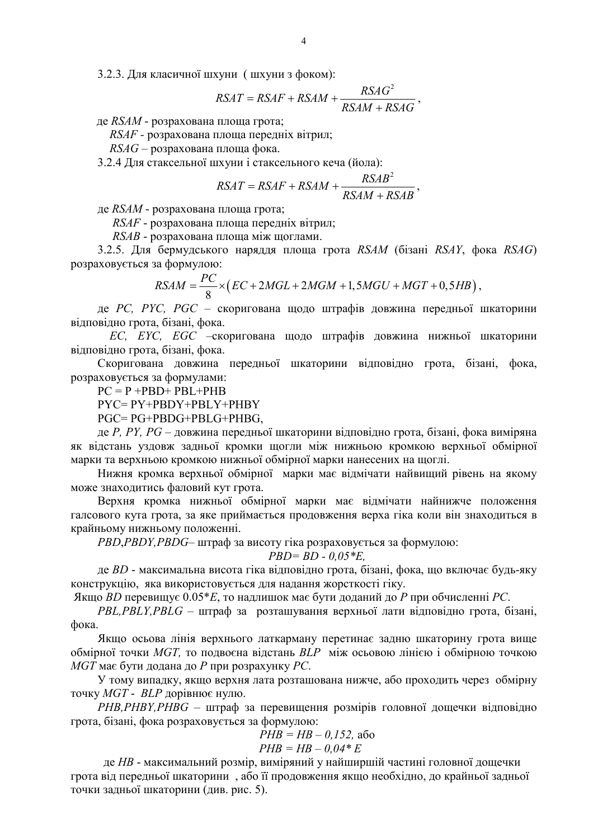3.2.3. Для класичної шхуни (шхуни з фоком):

$$
RSAT = RSAF + RSAM + \frac{RSAG^2}{RSAM + RSAG},
$$

де RSAM - розрахована площа грота;

RSAF - розрахована площа передніх вітрил;

RSAG - розрахована площа фока.

3.2.4 Лля стаксельної шхуни і стаксельного кеча (йола):

$$
RSAT = RSAF + RSAM + \frac{RSAB^2}{RSAM + RSAB}
$$

де RSAM - розрахована площа грота;

RSAF - розрахована площа передніх вітрил;

RSAB - розрахована площа між щоглами.

3.2.5. Для бермудського наряддя площа грота RSAM (бізані RSAY, фока RSAG) розраховується за формулою:

$$
RSAM = \frac{PC}{8} \times (EC + 2MGL + 2MGM + 1, 5MGU + MGT + 0, 5HB),
$$

де PC, PYC, PGC - скоригована щодо штрафів довжина передньої шкаторини відповідно грота, бізані, фока.

ЕС, ЕУС, ЕGC - скоригована щодо штрафів довжина нижньої шкаторини відповідно грота, бізані, фока.

Скоригована довжина передньої шкаторини відповідно грота, бізані, фока, розраховується за формулами:

 $PC = P + PBD + PBL + PHB$ 

 $PYC = PY + PBDY + PBLY + PHBY$ 

PGC=PG+PBDG+PBLG+PHBG.

де *P*, *PY*, *PG* – довжина передньої шкаторини відповідно грота, бізані, фока виміряна як відстань уздовж задньої кромки щогли між нижньою кромкою верхньої обмірної марки та верхньою кромкою нижньої обмірної марки нанесених на щоглі.

Нижня кромка верхньої обмірної марки має відмічати найвищий рівень на якому може знаходитись фаловий кут грота.

Верхня кромка нижньої обмірної марки має відмічати найнижче положення галсового кута грота, за яке приймається продовження верха гіка коли він знаходиться в крайньому нижньому положенні.

PBD, PBDY, PBDG- штраф за висоту гіка розраховується за формулою:

$$
PBD = BD - 0.05 \,^*E
$$

де BD - максимальна висота гіка відповідно грота, бізані, фока, що включає будь-яку конструкцію, яка використовується для надання жорсткості гіку.

Якщо BD перевищує 0.05\*Е, то надлишок має бути доданий до P при обчисленні PC.

PBL, PBLY, PBLG - штраф за розташування верхньої лати відповідно грота, бізані, фока.

Якщо осьова лінія верхнього латкарману перетинає задню шкаторину грота вище обмірної точки MGT, то подвоєна відстань BLP між осьовою лінією і обмірною точкою МСТ має бути додана до Р при розрахунку РС.

У тому випадку, якщо верхня лата розташована нижче, або проходить через обмірну точку MGT - BLP дорівнює нулю.

РНВ, РНВҮ, РНВС - штраф за перевищення розмірів головної дощечки відповідно грота, бізані, фока розраховується за формулою:

$$
PHB = HB - 0.152, \text{ a6c}
$$
  

$$
PHB = HB - 0.04 \cdot E
$$

де НВ - максимальний розмір, виміряний у найширшій частині головної дощечки грота від передньої шкаторини, або її продовження якщо необхідно, до крайньої задньої точки задньої шкаторини (див. рис. 5).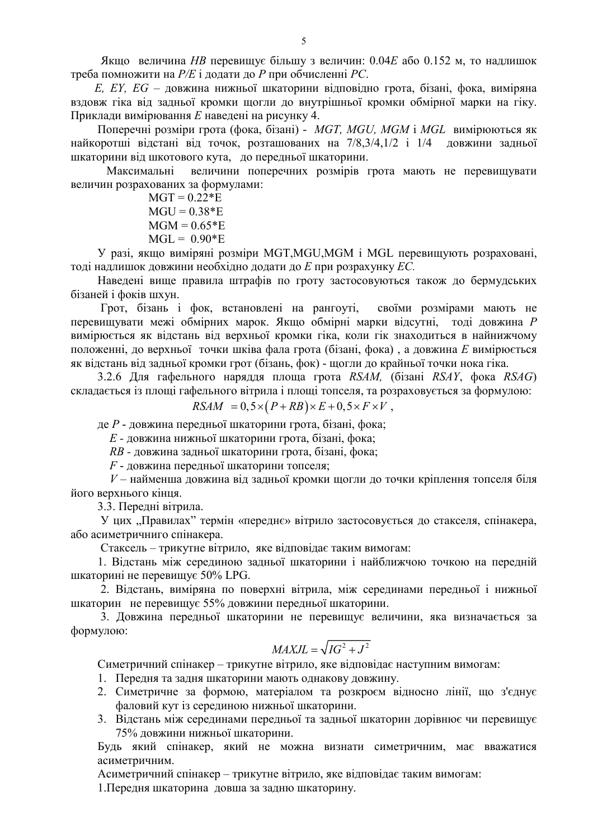Якщо величина *НВ* перевищує більшу з величин: 0.04*Е* або 0.152 м, то надлишок треба помножити на  $P/E$  і додати до  $P$  при обчисленні РС.

E, EY, EG - довжина нижньої шкаторини відповідно грота, бізані, фока, виміряна вздовж гіка від задньої кромки щогли до внутрішньої кромки обмірної марки на гіку. Приклади вимірювання Е наведені на рисунку 4.

Поперечні розміри грота (фока, бізані) - MGT, MGU, MGM і MGL вимірюються як найкоротші відстані від точок, розташованих на 7/8,3/4,1/2 і 1/4 довжини задньої шкаторини від шкотового кута, до передньої шкаторини.

величини поперечних розмірів грота мають не перевищувати Максимальні величин розрахованих за формулами:

 $MGT = 0.22*E$  $MGU = 0.38*E$  $MGM = 0.65*E$  $MGL = 0.90*E$ 

У разі, якщо виміряні розміри MGT, MGU, MGM і MGL перевищують розраховані, тоді надлишок довжини необхідно додати до Е при розрахунку ЕС.

Наведені вище правила штрафів по гроту застосовуються також до бермудських бізаней і фоків шхун.

Грот, бізань і фок, встановлені на рангоуті, своїми розмірами мають не перевищувати межі обмірних марок. Якщо обмірні марки відсутні, тоді довжина Р вимірюється як відстань від верхньої кромки гіка, коли гік знаходиться в найнижчому положенні, до верхньої точки шківа фала грота (бізані, фока), а довжина Е вимірюється як відстань від задньої кромки грот (бізань, фок) - щогли до крайньої точки нока гіка.

3.2.6 Лля гафельного нарядля площа грота  $RSAM$ . (бізані  $RSAY$ , фока  $RSAG$ ) складається із площі гафельного вітрила і площі топселя, та розраховується за формулою:

$$
RSAM = 0, 5 \times (P + RB) \times E + 0, 5 \times F \times V,
$$

де Р - довжина передньої шкаторини грота, бізані, фока;

 $E$  - довжина нижньої шкаторини грота, бізані, фока;

RB - довжина задньої шкаторини грота, бізані, фока;

 $F$  - ловжина передньої шкаторини топселя:

 $V$  – найменша довжина від задньої кромки щогли до точки кріплення топселя біля його верхнього кінця.

3.3. Передні вітрила.

У цих "Правилах" термін «переднє» вітрило застосовується до стакселя, спінакера, або асиметричниго спінакера.

Стаксель - трикутне вітрило, яке відповідає таким вимогам:

1. Відстань між серединою задньої шкаторини і найближчою точкою на передній шкаторині не перевищує 50% LPG.

2. Відстань, виміряна по поверхні вітрила, між серединами передньої і нижньої шкаторин не перевищує 55% довжини передньої шкаторини.

3. Довжина передньої шкаторини не перевищує величини, яка визначається за формулою:

$$
MAXJL = \sqrt{IG^2 + J^2}
$$

Симетричний спінакер - трикутне вітрило, яке відповідає наступним вимогам:

- 1. Передня та задня шкаторини мають однакову довжину.
- 2. Симетричне за формою, матеріалом та розкроєм відносно лінії, що з'єднує фаловий кут із серединою нижньої шкаторини.
- 3. Відстань між серединами передньої та задньої шкаторин дорівнює чи перевищує 75% довжини нижньої шкаторини.

Будь який спінакер, який не можна визнати симетричним, має вважатися асиметричним.

Асиметричний спінакер – трикутне вітрило, яке вілповілає таким вимогам:

1. Передня шкаторина довша за задню шкаторину.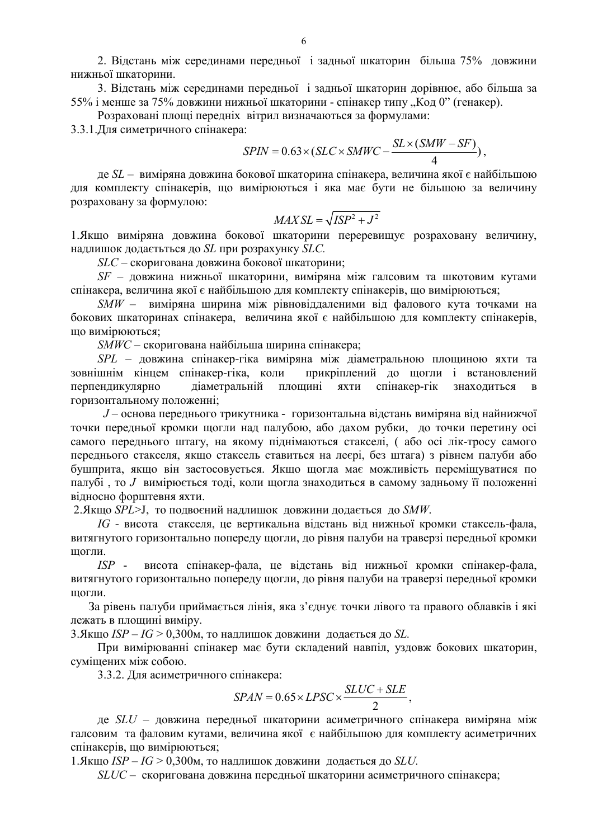2. Відстань між серединами передньої і задньої шкаторин більша 75% довжини нижньої шкаторини.

3. Відстань між серединами передньої і задньої шкаторин дорівнює, або більша за 55% і менше за 75% довжини нижньої шкаторини - спінакер типу "Код 0" (генакер).

Розраховані площі передніх вітрил визначаються за формулами:

3.3.1. Лля симетричного спінакера:

$$
SPIN = 0.63 \times (SLC \times SMWC - \frac{SL \times (SMW - SF)}{4}),
$$

де SL - виміряна довжина бокової шкаторина спінакера, величина якої є найбільшою для комплекту спінакерів, що вимірюються і яка має бути не більшою за величину розраховану за формулою:

$$
MAXSL = \sqrt{ISP^2 + J^2}
$$

1. Якщо виміряна довжина бокової шкаторини переревищує розраховану величину, надлишок додаєтьться до SL при розрахунку SLC.

*SLC* – скоригована довжина бокової шкаторини;

SF - довжина нижньої шкаторини, виміряна між галсовим та шкотовим кутами спінакера, величина якої є найбільшою для комплекту спінакерів, що вимірюються;

SMW - виміряна ширина між рівновіддаленими від фалового кута точками на бокових шкаторинах спінакера, величина якої є найбільшою для комплекту спінакерів, що вимірюються;

*SMWC* – скоригована найбільша ширина спінакера;

SPL - довжина спінакер-гіка виміряна між діаметральною площиною яхти та зовнішнім кінцем спінакер-гіка, коли прикріплений до щогли і встановлений перпендикулярно діаметральній площині яхти спінакер-гік знаходиться  $\overline{B}$ горизонтальному положенні;

J - основа переднього трикутника - горизонтальна відстань виміряна від найнижчої точки передньої кромки щогли над палубою, або дахом рубки, до точки перетину осі самого переднього штагу, на якому піднімаються стакселі, (або осі лік-тросу самого переднього стакселя, якщо стаксель ставиться на лесрі, без штага) з рівнем палуби або бушприта, якщо він застосовується. Якщо щогла має можливість переміщуватися по палубі, то  $J$  вимірюється тоді, коли щогла знаходиться в самому задньому її положенні відносно форштевня яхти.

2. Якщо SPL>J, то подвоєний надлишок довжини додається до SMW.

IG - висота стакселя, це вертикальна відстань від нижньої кромки стаксель-фала, витягнутого горизонтально попереду щогли, до рівня палуби на траверзі передньої кромки шогли.

висота спінакер-фала, це відстань від нижньої кромки спінакер-фала,  $ISP$ витягнутого горизонтально попереду щогли, до рівня палуби на траверзі передньої кромки шогли.

За рівень палуби приймається лінія, яка з'єднує точки лівого та правого облавків і які лежать в площині виміру.

3. Якщо ISP – IG > 0,300м, то надлишок довжини додається до SL.

При вимірюванні спінакер має бути складений навпіл, уздовж бокових шкаторин, сумішених між собою.

3.3.2. Для асиметричного спінакера:

$$
SPAN = 0.65 \times LPSC \times \frac{SLUC + SLE}{2}
$$

де  $SLU$  – довжина передньої шкаторини асиметричного спінакера виміряна між галсовим та фаловим кутами, величина якої є найбільшою для комплекту асиметричних спінакерів, що вимірюються:

1. Якщо ISP – IG > 0.300м, то надлишок довжини додається до SLU.

 $SLUC$  – скоригована довжина передньої шкаторини асиметричного спінакера;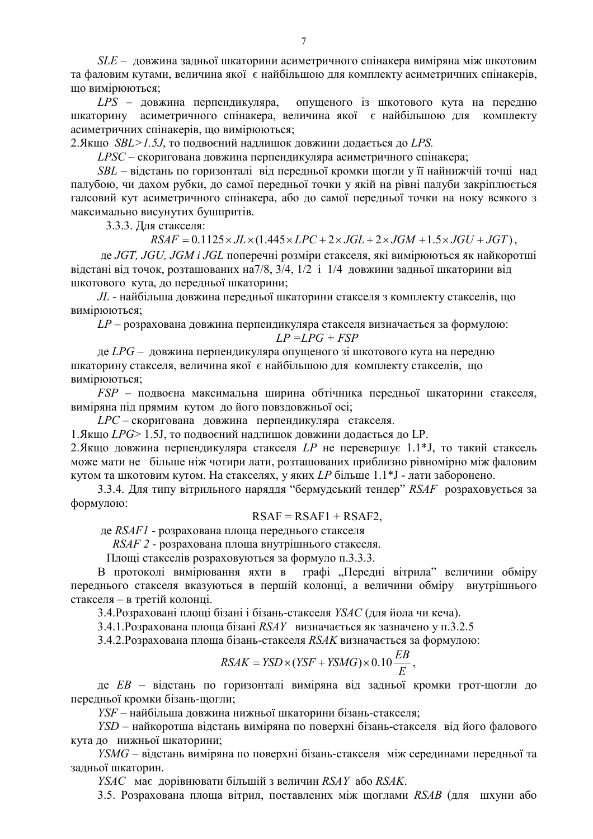$SLE$  – довжина задньої шкаторини асиметричного спінакера виміряна між шкотовим та фаловим кутами, величина якої є найбільшою для комплекту асиметричних спінакерів, що вимірюються;

LPS - довжина перпендикуляра, опущеного із шкотового кута на передню шкаторину асиметричного спінакера, величина якої є найбільшою для комплекту асиметричних спінакерів, що вимірюються;

2. Якщо SBL>1.5J, то подвоєний надлишок довжини додається до LPS.

LPSC - скоригована довжина перпендикуляра асиметричного спінакера;

 $SBL$  – вілстань по горизонталі віл перелньої кромки шогли у її найнижчій точці нал палубою, чи дахом рубки, до самої передньої точки у якій на рівні палуби закріплюється галсовий кут асиметричного спінакера, або до самої передньої точки на ноку всякого з максимально висунутих бушпритів.

3.3.3. Для стакселя:

 $RSAF = 0.1125 \times JL \times (1.445 \times LPC + 2 \times JGL + 2 \times JGM + 1.5 \times JGU + JGT)$ 

де JGT, JGU, JGM і JGL поперечні розміри стакселя, які вимірюються як найкоротші відстані від точок, розташованих на 7/8, 3/4, 1/2 і 1/4 довжини задньої шкаторини від шкотового кута, до передньої шкаторини;

 $JL$  - найбільша довжина передньої шкаторини стакселя з комплекту стакселів, що вимірюються;

 $LP$  – розрахована довжина перпендикуляра стакселя визначається за формулою:

$$
LP = LPG + FSP
$$

де LPG - довжина перпендикуляра опущеного зі шкотового кута на передню шкаторину стакселя, величина якої є найбільшою для комплекту стакселів, що вимірюються;

FSP - подвоєна максимальна ширина обтічника передньої шкаторини стакселя, виміряна під прямим кутом до його повздовжньої осі;

 $LPC$  - скоригована довжина перпендикуляра стакселя.

1. Якщо LPG> 1.5J, то подвоєний надлишок довжини додається до LP.

2. Якщо довжина перпендикуляра стакселя LP не перевершує 1.1\*J, то такий стаксель може мати не більше ніж чотири лати, розташованих приблизно рівномірно між фаловим кутом та шкотовим кутом. На стакселях, у яких LP більше  $1.1*$ J - лати заборонено.

3.3.4. Для типу вітрильного наряддя "бермудський тендер" RSAF розраховується за формулою:

$$
RSAF = RSAF1 + RSAF2,
$$

де RSAF1 - розрахована площа переднього стакселя

RSAF 2 - розрахована площа внутрішнього стакселя.

Площі стакселів розраховуються за формуло п.3.3.3.

графі "Передні вітрила" величини обміру В протоколі вимірювання яхти в переднього стакселя вказуються в першій колонці, а величини обміру внутрішнього стакселя - в третій колонці.

3.4. Розраховані площі бізані і бізань-стакселя *YSAC* (для йола чи кеча).

3.4.1. Розрахована площа бізані  $RSAY$  визначається як зазначено у п.3.2.5

3.4.2. Розрахована площа бізань-стакселя RSAK визначається за формулою:

$$
RSAK = YSD \times (YSF + YSMG) \times 0.10 \frac{EB}{E}
$$

ле *EB* - вілстань по горизонталі виміряна віл залньої кромки грот-шогли до передньої кромки бізань-щогли;

YSF - найбільша довжина нижньої шкаторини бізань-стакселя;

YSD - найкоротша відстань виміряна по поверхні бізань-стакселя від його фалового кута до нижньої шкаторини;

 $YSMG$  – відстань виміряна по поверхні бізань-стакселя між серединами передньої та задньої шкаторин.

YSAC має дорівнювати більшій з величин RSAY або RSAK.

3.5. Розрахована плоша вітрил, поставлених між шоглами RSAB (для шхуни або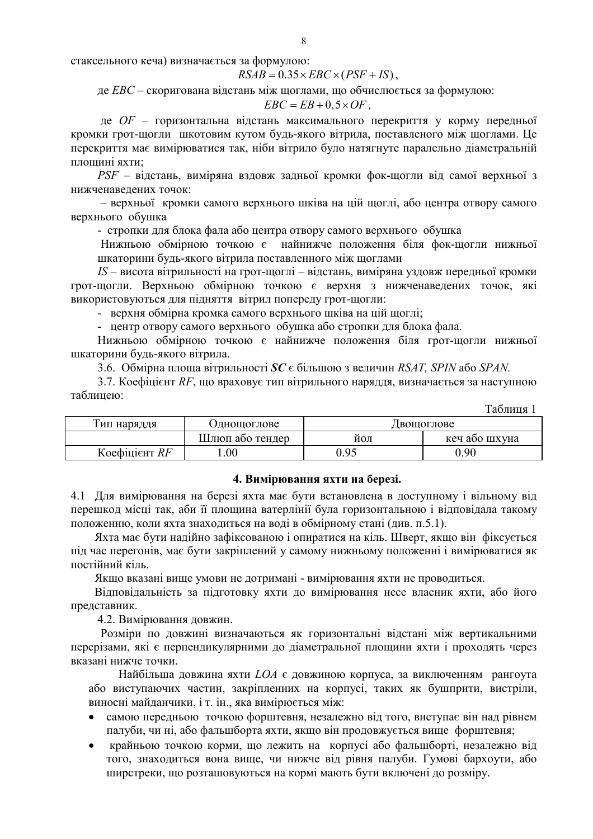стаксельного кеча) визначається за формулою:

$$
RSAB = 0.35 \times EBC \times (PSF + IS)
$$

де ЕВС - скоригована відстань між щоглами, що обчислюється за формулою:

$$
EBC = EB + 0, 5 \times OF
$$
,

де OF - горизонтальна відстань максимального перекриття у корму передньої кромки грот-щогли шкотовим кутом будь-якого вітрила, поставленого між щоглами. Це перекриття має вимірюватися так, ніби вітрило було натягнуте паралельно діаметральній плошині яхти:

 $PSF$  – відстань, виміряна вздовж задньої кромки фок-щогли від самої верхньої з нижченаведених точок:

- верхньої кромки самого верхнього шківа на цій щоглі, або центра отвору самого верхнього обушка

- стропки для блока фала або центра отвору самого верхнього обушка

Нижньою обмірною точкою є найнижче положення біля фок-щогли нижньої шкаторини будь-якого вітрила поставленного між щоглами

 $IS$  – висота вітрильності на грот-щоглі – відстань, виміряна уздовж передньої кромки грот-щогли. Верхньою обмірною точкою є верхня з нижченаведених точок, які використовуються для підняття вітрил попереду грот-щогли:

- верхня обмірна кромка самого верхнього шківа на цій щоглі;

- центр отвору самого верхнього обушка або стропки для блока фала.

Нижньою обмірною точкою є найнижче положення біля грот-щогли нижньої шкаторини будь-якого вітрила.

3.6. Обмірна площа вітрильності  $SC \in$  більшою з величин RSAT, SPIN або SPAN.

3.7. Коефіцієнт RF, що враховує тип вітрильного наряддя, визначається за наступною таблинею:

| Таблиця       |                 |      |               |  |  |
|---------------|-----------------|------|---------------|--|--|
| Гип наряддя   | Однощоглове     |      | Двощоглове    |  |  |
|               | Шлюп або тендер | йол  | кеч або шхуна |  |  |
| Коефіцієнт RF | .00.            | 0.95 | 0.90          |  |  |

#### 4. Вимірювання яхти на березі.

4.1 Для вимірювання на березі яхта має бути встановлена в доступному і вільному від перешкод місці так, аби її площина ватерлінії була горизонтальною і відповідала такому положенню, коли яхта знаходиться на воді в обмірному стані (див. п.5.1).

Яхта має бути надійно зафіксованою і опиратися на кіль. Шверт, якщо він фіксується піл час перегонів, має бути закріплений у самому нижньому положенні і вимірюватися як постійний кіль.

Якщо вказані вище умови не дотримані - вимірювання яхти не проводиться.

Відповідальність за підготовку яхти до вимірювання несе власник яхти, або його представник.

4.2. Вимірювання довжин.

Розміри по довжині визначаються як горизонтальні відстані між вертикальними перерізами, які є перпендикулярними до діаметральної площини яхти і проходять через вказані нижче точки.

Найбільша довжина яхти LOA є довжиною корпуса, за виключенням рангоута або виступаючих частин, закріпленних на корпусі, таких як бушприти, вистріли, виносні майданчики, і т. ін., яка вимірюється між:

- самою передньою точкою форштевня, незалежно від того, виступає він над рівнем  $\bullet$ палуби, чи ні, або фальшборта яхти, якщо він продовжується вище форштевня;
- крайньою точкою корми, що лежить на корпусі або фальшборті, незалежно від  $\bullet$ того, знаходиться вона вище, чи нижче від рівня палуби. Гумові бархоути, або ширстреки, що розташовуються на кормі мають бути включені до розміру.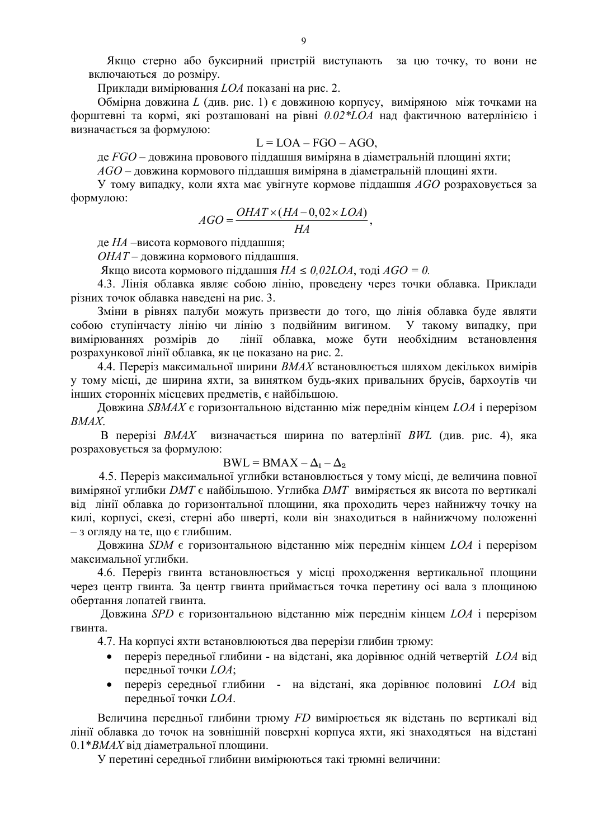Якщо стерно або буксирний пристрій виступають за цю точку, то вони не включаються до розміру.

Приклади вимірювання LOA показані на рис. 2.

Обмірна довжина L (див. рис. 1) є довжиною корпусу, виміряною між точками на форштевні та кормі, які розташовані на рівні 0.02\*LOA над фактичною ватерлінією і визначається за формулою:

$$
L = LOA - FGO - AGO,
$$

де  $FGO$  – довжина провового піддашшя виміряна в діаметральній площині яхти;

 $AGO$  – довжина кормового піддашшя виміряна в діаметральній площині яхти.

У тому випадку, коли яхта має увігнуте кормове піддашшя  $AGO$  розраховується за формулою:

$$
AGO = \frac{OHAT \times (HA - 0.02 \times LOA)}{HA}
$$

де НА -висота кормового піддашшя;

ОНАТ - довжина кормового піддашшя.

Якщо висота кормового піддашшя  $HA \leq 0.02LOA$ , тоді  $AGO = 0$ .

4.3. Лінія облавка являє собою лінію, проведену через точки облавка. Приклади різних точок облавка наведені на рис. 3.

Зміни в рівнях палуби можуть призвести до того, що лінія облавка буде являти собою ступінчасту лінію чи лінію з подвійним вигином. У такому випадку, при вимірюваннях розмірів до лінії облавка, може бути необхідним встановлення розрахункової лінії облавка, як це показано на рис. 2.

4.4. Переріз максимальної ширини ВМАХ встановлюється шляхом декількох вимірів у тому місці, де ширина яхти, за винятком будь-яких привальних брусів, бархоутів чи інших сторонніх місцевих предметів, є найбільшою.

Довжина SBMAX є горизонтальною відстанню між переднім кінцем LOA і перерізом  $RMAX$ 

В перерізі ВМАХ визначається ширина по ватерлінії ВИЛ (див. рис. 4), яка розраховується за формулою:

# $BWL = BMAX - \Delta_1 - \Delta_2$

4.5. Переріз максимальної углибки встановлюється у тому місці, де величина повної виміряної углибки DMT є найбільшою. Углибка DMT виміряється як висота по вертикалі від лінії облавка до горизонтальної площини, яка проходить через найнижчу точку на килі, корпусі, скезі, стерні або шверті, коли він знаходиться в найнижчому положенні - з огляду на те, що є глибшим.

Довжина SDM є горизонтальною відстанню між переднім кінцем LOA і перерізом максимальної углибки.

4.6. Переріз гвинта встановлюється у місці проходження вертикальної площини через центр гвинта. За центр гвинта приймається точка перетину осі вала з плошиною обертання лопатей гвинта.

Довжина SPD є горизонтальною відстанню між переднім кінцем LOA і перерізом гвинта

4.7. На корпусі яхти встановлюються два перерізи глибин трюму:

- переріз передньої глибини на відстані, яка дорівнює одній четвертій LOA від  $\bullet$ передньої точки LOA;
- переріз середньої глибини на відстані, яка дорівнює половині LOA від  $\bullet$ передньої точки LOA.

Величина передньої глибини трюму FD вимірюється як відстань по вертикалі від лінії облавка до точок на зовнішній поверхні корпуса яхти, які знаходяться на відстані 0.1\*ВМАХ від діаметральної площини.

У перетині середньої глибини вимірюються такі трюмні величини: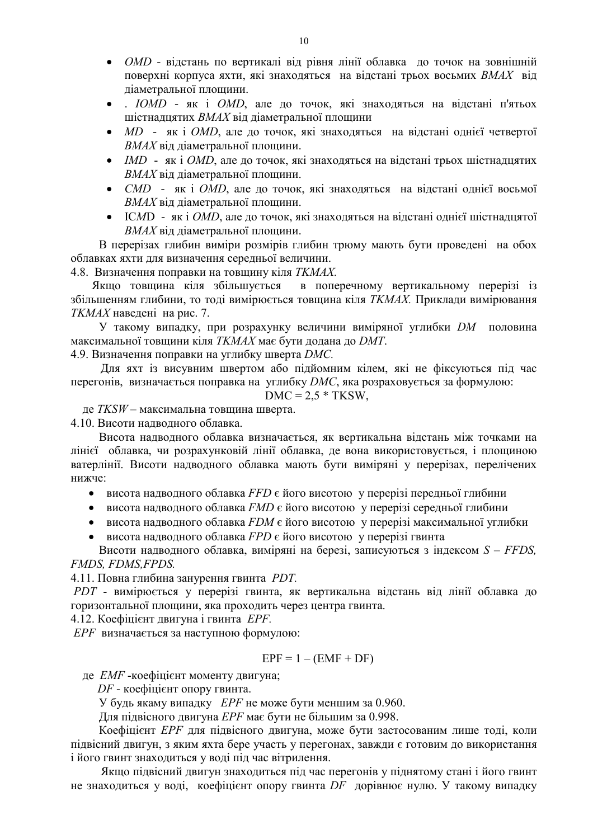- *OMD* відстань по вертикалі від рівня лінії облавка до точок на зовнішній поверхні корпуса яхти, які знаходяться на відстані трьох восьмих ВМАХ від ліаметральної плошини.
- .  $IOMD$  як і  $OMD$ , але до точок, які знаходяться на відстані п'ятьох шістнадцятих ВМАХ від діаметральної площини
- $MD$  як і  $OMD$ , але до точок, які знаходяться на відстані однієї четвертої ВМАХ від діаметральної площини.
- IMD як і  $OMD$ , але до точок, які знаходяться на відстані трьох шістнадцятих ВМАХ від діаметральної площини.
- *CMD* як і *OMD*, але до точок, які знаходяться на відстані однієї восьмої ВМАХ від діаметральної площини.
- ICMD як і ОМД, але до точок, які знаходяться на відстані однієї шістнадцятої ВМАХ від діаметральної площини.

В перерізах глибин виміри розмірів глибин трюму мають бути проведені на обох облавках яхти для визначення середньої величини.

4.8. Визначення поправки на товщину кіля ТКМАХ.

Якщо товщина кіля збільшується в поперечному вертикальному перерізі із збільшенням глибини, то тоді вимірюється товщина кіля ТКМАХ. Приклади вимірювання ТКМАХ навелені на рис. 7.

У такому випадку, при розрахунку величини виміряної углибки ДМ половина максимальної товщини кіля ТКМАХ має бути додана до ДМТ.

4.9. Визначення поправки на углибку шверта ДМС.

Для яхт із висувним швертом або підйомним кілем, які не фіксуються під час перегонів, визначається поправка на углибку  $DMC$ , яка розраховується за формулою:

$$
DMC = 2.5 * TKSW,
$$

де TKSW - максимальна товщина шверта.

4.10. Висоти надводного облавка.

Висота надводного облавка визначається, як вертикальна відстань між точками на лінієї облавка, чи розрахунковій лінії облавка, де вона використовується, і площиною ватерлінії. Висоти надводного облавка мають бути виміряні у перерізах, перелічених нижче:

• висота надводного облавка FFD  $\epsilon$  його висотою у перерізі передньої глибини

- висота надводного облавка  $FMD \in$ його висотою у перерізі середньої глибини
- висота надводного облавка  $FDM \epsilon$  його висотою у перерізі максимальної углибки
- висота надводного облавка  $FPD$  є його висотою у перерізі гвинта

Висоти надводного облавка, виміряні на березі, записуються з індексом  $S - FFDS$ . **FMDS. FDMS. FPDS.** 

4.11. Повна глибина занурення гвинта РДТ.

РОТ - вимірюється у перерізі гвинта, як вертикальна відстань від лінії облавка до горизонтальної площини, яка проходить через центра гвинта.

4.12. Коефіцієнт двигуна і гвинта ЕРЕ.

ЕРГ визначається за наступною формулою:

$$
EPF = 1 - (EMF + DF)
$$

де ЕМҒ-коефіцієнт моменту двигуна;

*DF* - коефіцієнт опору гвинта.

У будь якаму випадку *EPF* не може бути меншим за 0.960.

Для підвісного двигуна ЕРҒ має бути не більшим за 0.998.

Коефіцієнт ЕРҒ для підвісного двигуна, може бути застосованим лише тоді, коли підвісний двигун, з яким яхта бере участь у перегонах, завжди є готовим до використання і його гвинт знаходиться у воді під час вітрилення.

Якщо підвісний двигун знаходиться під час перегонів у піднятому стані і його гвинт не знаходиться у воді, коефіцієнт опору гвинта DF дорівнює нулю. У такому випадку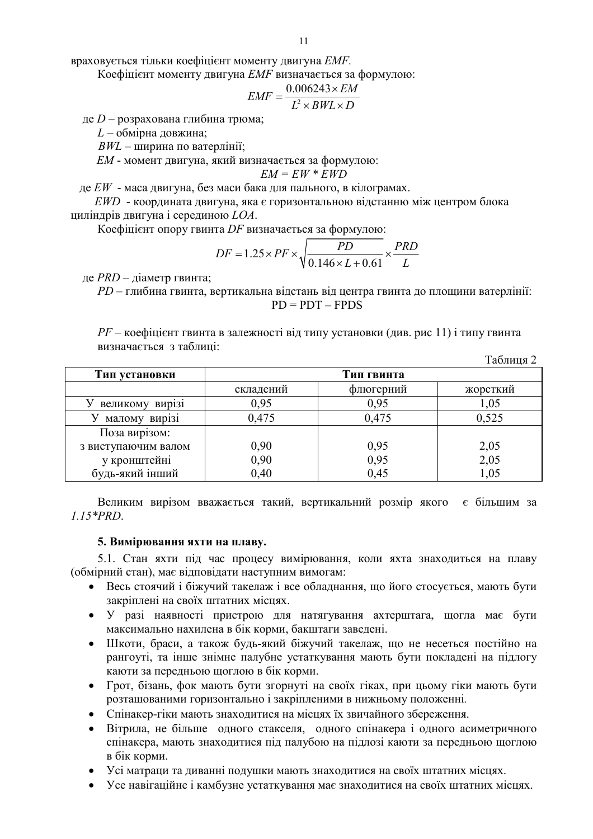враховується тільки коефіцієнт моменту двигуна ЕМЕ.

Коефіцієнт моменту двигуна ЕМҒ визначається за формулою:

$$
EMF = \frac{0.006243 \times EM}{L^2 \times BWL \times D}
$$

де  $D$  – розрахована глибина трюма;

 $L$  – обмірна довжина;

 $BWL$  – ширина по ватерлінії;

ЕМ - момент двигуна, який визначається за формулою:

$$
EM = EW \cdot \textit{EWD}
$$

де  $EW$  - маса двигуна, без маси бака для пального, в кілограмах.

 $EWD$  - координата двигуна, яка є горизонтальною відстанню між центром блока циліндрів двигуна і серединою  $LOA$ .

Коефіцієнт опору гвинта DF визначається за формулою:

$$
DF = 1.25 \times PF \times \sqrt{\frac{PD}{0.146 \times L + 0.61}} \times \frac{PRD}{L}
$$

де  $PRD -$ діаметр гвинта;

PD - глибина гвинта, вертикальна відстань від центра гвинта до площини ватерлінії:  $PD = PDT - FPDS$ 

| $PF$ – коефіцієнт гвинта в залежності від типу установки (див. рис 11) і типу гвинта |  |              |
|--------------------------------------------------------------------------------------|--|--------------|
| визначається з таблиці:                                                              |  |              |
|                                                                                      |  | $Ta6$ пина 2 |

|                     |            |           | $1000111111 =$ |  |
|---------------------|------------|-----------|----------------|--|
| Тип установки       | Тип гвинта |           |                |  |
|                     | складений  | флюгерний | жорсткий       |  |
| великому вирізі     | 0,95       | 0,95      | 1,05           |  |
| малому вирізі       | 0,475      | 0,475     | 0,525          |  |
| Поза вирізом:       |            |           |                |  |
| з виступаючим валом | 0,90       | 0,95      | 2,05           |  |
| у кронштейні        | 0,90       | 0,95      | 2,05           |  |
| будь-який інший     | 0,40       | 0,45      | 1,05           |  |

Великим вирізом вважається такий, вертикальний розмір якого є більшим за  $1.15*PRD.$ 

## 5. Вимірювання яхти на плаву.

5.1. Стан яхти під час процесу вимірювання, коли яхта знаходиться на плаву (обмірний стан), має відповідати наступним вимогам:

- Весь стоячий і біжучий такелаж і все обладнання, що його стосується, мають бути закріплені на своїх штатних місцях.
- У разі наявності пристрою для натягування ахтерштага, щогла має бути максимально нахилена в бік корми, бакштаги заведені.
- Шкоти, браси, а також будь-який біжучий такелаж, що не несеться постійно на рангоуті, та інше знімне палубне устаткування мають бути покладені на підлогу каюти за передньою щоглою в бік корми.
- Грот, бізань, фок мають бути згорнуті на своїх гіках, при цьому гіки мають бути розташованими горизонтально і закріпленими в нижньому положенні.
- Спінакер-гіки мають знаходитися на місцях їх звичайного збереження.
- Вітрила, не більше одного стакселя, одного спінакера і одного асиметричного спінакера, мають знаходитися під палубою на підлозі каюти за передньою щоглою в бік корми.
- Усі матраци та диванні подушки мають знаходитися на своїх штатних місцях.
- Усе навігаційне і камбузне устаткування має знаходитися на своїх штатних місцях.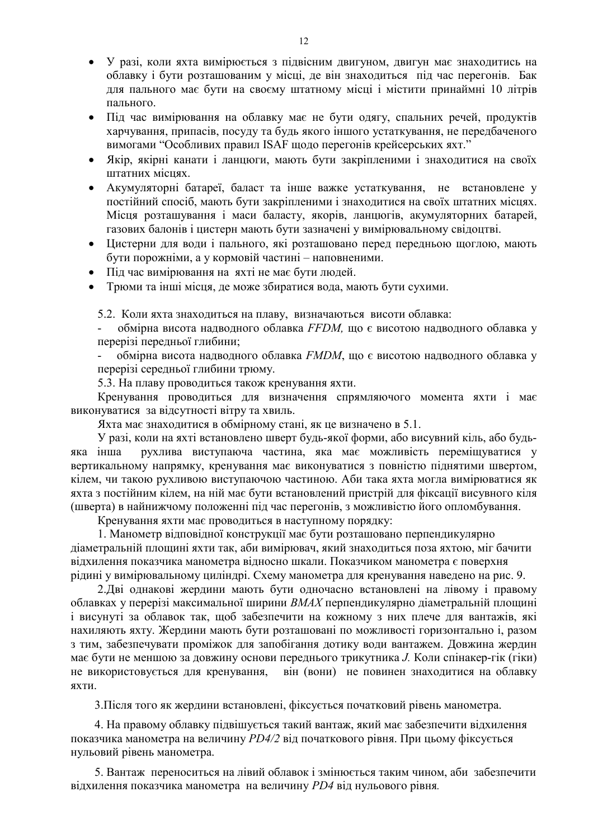- У разі, коли яхта вимірюється з підвісним двигуном, двигун має знаходитись на облавку і бути розташованим у місці, де він знаходиться під час перегонів. Бак для пального має бути на своєму штатному місці і містити принаймні 10 літрів пального.
- Під час вимірювання на облавку має не бути одягу, спальних речей, продуктів харчування, припасів, посуду та будь якого іншого устаткування, не передбаченого вимогами "Особливих правил ISAF щодо перегонів крейсерських яхт."
- Якір, якірні канати і ланцюги, мають бути закріпленими і знаходитися на своїх штатних міснях.
- Акумуляторні батареї, баласт та інше важке устаткування, не встановлене у постійний спосіб, мають бути закріпленими і знаходитися на своїх штатних місцях. Місця розташування і маси баласту, якорів, ланшогів, акумуляторних батарей, газових балонів і цистерн мають бути зазначені у вимірювальному свідоцтві.
- Цистерни для води і пального, які розташовано перед передньою щоглою, мають  $\bullet$ бути порожніми, а у кормовій частині - наповненими.
- Піл час вимірювання на яхті не має бути людей.
- Трюми та інші місця, де може збиратися вода, мають бути сухими.

5.2. Коли яхта знаходиться на плаву, визначаються висоти облавка:

обмірна висота надводного облавка FFDM, що є висотою надводного облавка у перерізі передньої глибини;

обмірна висота надводного облавка *FMDM*, що є висотою надводного облавка у перерізі середньої глибини трюму.

5.3. На плаву проводиться також кренування яхти.

Кренування проводиться для визначення спрямляючого момента яхти і має виконуватися за відсутності вітру та хвиль.

Яхта має знаходитися в обмірному стані, як це визначено в 5.1.

У разі, коли на яхті встановлено шверт будь-якої форми, або висувний кіль, або будьрухлива виступаюча частина, яка має можливість переміщуватися у яка інша вертикальному напрямку, кренування має виконуватися з повністю піднятими швертом, кілем, чи такою рухливою виступаючою частиною. Аби така яхта могла вимірюватися як яхта з постійним кілем, на ній має бути встановлений пристрій для фіксації висувного кіля (шверта) в найнижчому положенні під час перегонів, з можливістю його опломбування.

Кренування яхти має проводиться в наступному порядку:

1. Манометр відповідної конструкції має бути розташовано перпендикулярно діаметральній площині яхти так, аби вимірювач, який знаходиться поза яхтою, міг бачити відхилення показчика манометра відносно шкали. Показчиком манометра є поверхня рідині у вимірювальному циліндрі. Схему манометра для кренування наведено на рис. 9.

2. Дві однакові жердини мають бути одночасно встановлені на лівому і правому облавках у перерізі максимальної ширини ВМАХ перпендикулярно діаметральній площині і висунуті за облавок так, шоб забезпечити на кожному з них плече для вантажів, які нахиляють яхту. Жердини мають бути розташовані по можливості горизонтально і, разом з тим, забезпечувати проміжок для запобігання дотику води вантажем. Довжина жердин має бути не меншою за довжину основи переднього трикутника Ј. Коли спінакер-гік (гіки) не використовується для кренування, він (вони) не повинен знаходитися на облавку яхти.

3. Після того як жердини встановлені, фіксується початковий рівень манометра.

4. На правому облавку підвішується такий вантаж, який має забезпечити відхилення показчика манометра на величину PD4/2 від початкового рівня. При цьому фіксується нульовий рівень манометра.

5. Вантаж переноситься на лівий облавок і змінюється таким чином, аби забезпечити відхилення показчика манометра на величину РД4 від нульового рівня.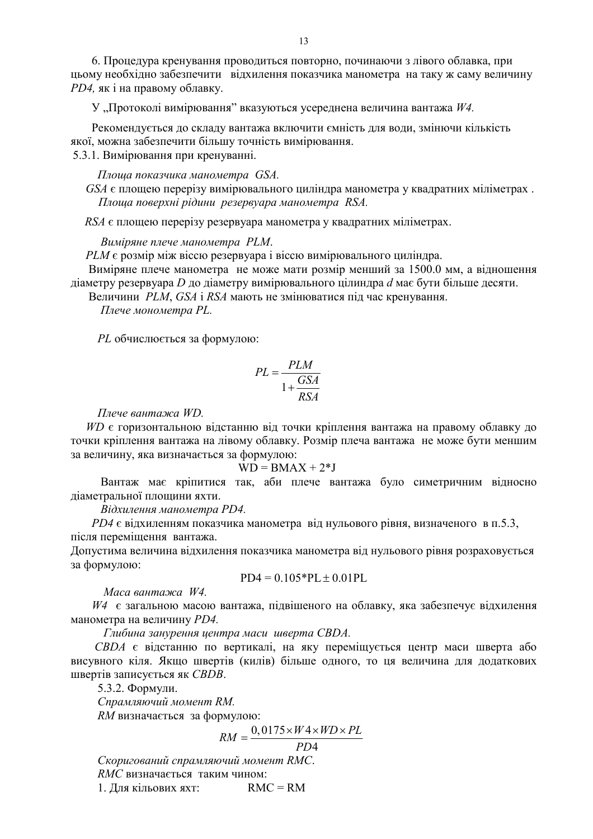6. Процедура кренування проводиться повторно, починаючи з лівого облавка, при цьому необхідно забезпечити відхилення показчика манометра на таку ж саму величину РД4, як і на правому облавку.

У "Протоколі вимірювання" вказуються усереднена величина вантажа  $W4$ .

Рекомендується до складу вантажа включити ємність для води, змінючи кількість якої, можна забезпечити більшу точність вимірювання.

5.3.1. Вимірювання при кренуванні.

Площа показчика манометра GSA.

GSA є площею перерізу вимірювального циліндра манометра у квадратних міліметрах. Плоша поверхні рідини резервуара манометра RSA.

RSA є площею перерізу резервуара манометра у квадратних міліметрах.

Виміряне плече манометра РLM.

 $PLM$  є розмір між віссю резервуара і віссю вимірювального циліндра.

Виміряне плече манометра не може мати розмір менший за 1500.0 мм, а відношення діаметру резервуара D до діаметру вимірювального цілиндра d має бути більше десяти.

Величини PLM, GSA і RSA мають не змінюватися під час кренування.

Плече монометра PL.

PL обчислюється за формулою:

$$
PL = \frac{PLM}{1 + \frac{GSA}{RSA}}
$$

Плече вантажа WD.

WD є горизонтальною відстанню від точки кріплення вантажа на правому облавку до точки кріплення вантажа на лівому облавку. Розмір плеча вантажа не може бути меншим за величину, яка визначається за формулою:

$$
WD = BMAX + 2*J
$$

Вантаж має кріпитися так, аби плече вантажа було симетричним відносно діаметральної площини яхти.

Відхилення манометра РД4.

 $PD4$  є відхиленням показчика манометра від нульового рівня, визначеного в п.5.3, після переміщення вантажа.

Допустима величина відхилення показчика манометра від нульового рівня розраховується за формулою:

$$
PD4 = 0.105*PL \pm 0.01PL
$$

Маса вантажа W4.

 $W4$  є загальною масою вантажа, підвішеного на облавку, яка забезпечує відхилення манометра на величину РД4.

Глибина занурення центра маси шверта СВДА.

СВДА є відстанню по вертикалі, на яку переміщується центр маси шверта або висувного кіля. Якшо швертів (килів) більше одного, то ця величина для додаткових швертів записується як СВДВ.

5.3.2. Формули.

Спрамляючий момент RM.

RM визначається за формулою:

$$
RM = \frac{0.0175 \times W4 \times WD \times PL}{0.0175 \times AU}
$$

$$
PD4
$$

Скоригований спрамляючий момент RMC.

*RMC* визначається таким чином:

1. Для кільових яхт: RMC = RM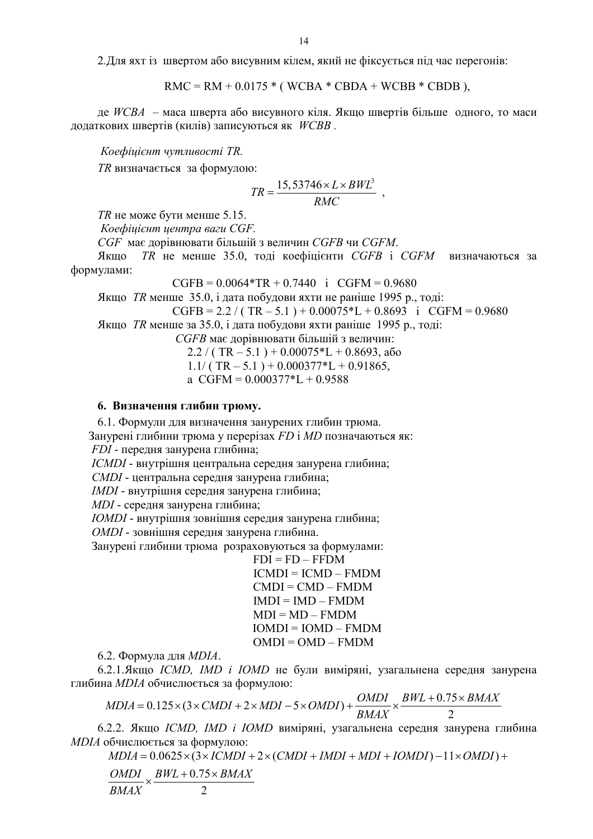2. Для яхт із швертом або висувним кілем, який не фіксується під час перегонів:

 $RMC = RM + 0.0175 * (WCBA * CBDA + WCBB * CBDB)$ ,

де  $WCBA$  – маса шверта або висувного кіля. Якщо швертів більше одного, то маси додаткових швертів (килів) записуються як WCBB.

Коефіиієнт чутливості ТR.

TR визначається за формулою:

$$
TR = \frac{15,53746 \times L \times BWL^3}{RMC} ,
$$

 $TR$  не може бути менше 5.15.

Коефіцієнт центра ваги CGF.

СGF має дорівнювати більшій з величин СGFB чи СGFM.

Якщо TR не менше 35.0, тоді коефіцієнти CGFB і CGFM визначаються за формулами:

$$
CGFB = 0.0064*TR + 0.7440 \text{ i } CGFM = 0.9680
$$

Якщо *ТR* менше 35.0, і дата побудови яхти не раніше 1995 р., тоді:

 $CGFB = 2.2 / (TR - 5.1) + 0.00075*L + 0.8693$  i  $CGFM = 0.9680$ 

Якщо *ТR* менше за 35.0, і дата побудови яхти раніше 1995 р., тоді:

СGFB має дорівнювати більшій з величин:

 $2.2 / (TR - 5.1) + 0.00075*L + 0.8693$ , abo

 $1.1/$  (TR  $-5.1$ ) + 0.000377\*L + 0.91865,

a  $CGFM = 0.000377 \times L + 0.9588$ 

# 6. Визначення глибин трюму.

6.1. Формули для визначення занурених глибин трюма. Занурені глибини трюма у перерізах FD і MD позначаються як: *FDI* - передня занурена глибина;

ICMDI - внутрішня центральна середня занурена глибина;

СМDI - центральна середня занурена глибина;

IMDI - внутрішня середня занурена глибина;

MDI - середня занурена глибина;

**IOMDI** - внутрішня зовнішня середня занурена глибина;

**OMDI** - зовнішня середня занурена глибина.

Занурені глибини трюма розраховуються за формулами:

 $FDI = FD - FFDM$  $ICMDI = ICMD - FMDM$  $CMDI = CMD - FMDM$  $IMDI = IMD - FMDM$  $MDI = MD - FMDM$  $IOMDI = IOMD - FMDM$  $OMDI = OMD - FMDM$ 

6.2. Формула для МDIA.

6.2.1.Якщо ICMD, IMD і IOMD не були виміряні, узагальнена середня занурена глибина МDIA обчислюється за формулою:

$$
MDIA = 0.125 \times (3 \times CMDI + 2 \times MDI - 5 \times OMDI) + \frac{OMDI}{BMAX} \times \frac{BWL + 0.75 \times BMAX}{2}
$$

6.2.2. Якщо ICMD, IMD і IOMD виміряні, узагальнена середня занурена глибина МОІА обчислюється за формулою:

 $MDIA = 0.0625 \times (3 \times ICMDI + 2 \times (CMDI + IMDI + MDI + IOMDI) - 11 \times OMDI) +$  $\frac{OMDI}{BMAX} \times \frac{BWL + 0.75 \times BMAX}{2}$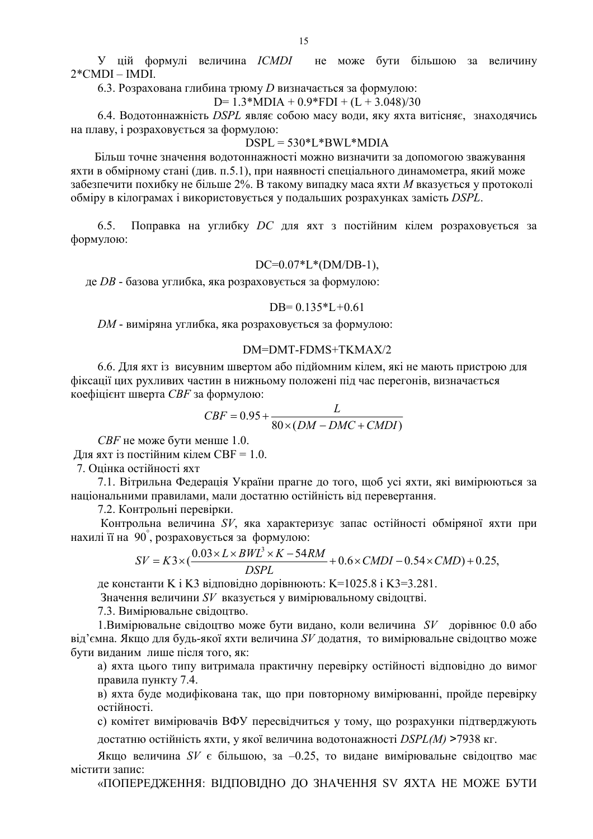У цій формулі величина ICMDI не може бути більшою за величину  $2*$ CMDI – IMDI.

6.3. Розрахована глибина трюму D визначається за формулою:

D=  $1.3*MDIA + 0.9*FDI + (L + 3.048)/30$ 

6.4. Водотоннажність DSPL являє собою масу води, яку яхта витісняє, знаходячись на плаву, і розраховується за формулою:

 $DSPL = 530*L*BWL*MDIA$ 

Більш точне значення водотоннажності можно визначити за допомогою зважування яхти в обмірному стані (див. п.5.1), при наявності спеціального динамометра, який може забезпечити похибку не більше 2%. В такому випадку маса яхти М вказується у протоколі обміру в кілограмах і використовується у подальших розрахунках замість DSPL.

Поправка на углибку DC для яхт з постійним кілем розраховується за  $6.5$ формулою:

# $DC=0.07*L*(DM/DB-1),$

де DB - базова углибка, яка розраховується за формулою:

#### DB= $0.135 \times L + 0.61$

DM - виміряна углибка, яка розраховується за формулою:

## DM=DMT-FDMS+TKMAX/2

6.6. Для яхт із висувним швертом або підйомним кілем, які не мають пристрою для фіксації цих рухливих частин в нижньому положені під час перегонів, визначається коефіцієнт шверта СВҒ за формулою:

$$
CBF = 0.95 + \frac{L}{80 \times (DM - DMC + CMD)}
$$

СВГ не може бути менше 1.0. Для яхт із постійним кілем СВF = 1.0. 7. Опінка остійності яхт

7.1. Вітрильна Федерація України прагне до того, щоб усі яхти, які вимірюються за національними правилами, мали достатню остійність від перевертання.

7.2. Контрольні перевірки.

Контрольна величина SV, яка характеризує запас остійності обміряної яхти при нахилі її на  $90^{\circ}$ , розраховується за формулою:

$$
SV = K3 \times (\frac{0.03 \times L \times BWL^3 \times K - 54RM}{DSPL} + 0.6 \times CMDI - 0.54 \times CMD) + 0.25,
$$

де константи К і КЗ вілповілно дорівнюють: K=1025.8 і K3=3.281.

Значення величини SV вказується у вимірювальному свідоцтві.

7.3. Вимірювальне свідоцтво.

1. Вимірювальне свідоцтво може бути видано, коли величина  $SV$  дорівнює 0.0 або від'ємна. Якщо для будь-якої яхти величина  $SV$  додатня, то вимірювальне свідоцтво може бути виданим лише після того, як:

а) яхта цього типу витримала практичну перевірку остійності відповідно до вимог правила пункту 7.4.

в) яхта буде модифікована так, що при повторному вимірюванні, пройде перевірку остійності.

с) комітет вимірювачів ВФУ пересвідчиться у тому, що розрахунки підтверджують

достатню остійність яхти, у якої величина водотонажності DSPL(M) >7938 кг.

Якщо величина SV є більшою, за -0.25, то видане вимірювальне свідоцтво має містити запис:

«ПОПЕРЕДЖЕННЯ: ВІДПОВІДНО ДО ЗНАЧЕННЯ SV ЯХТА НЕ МОЖЕ БУТИ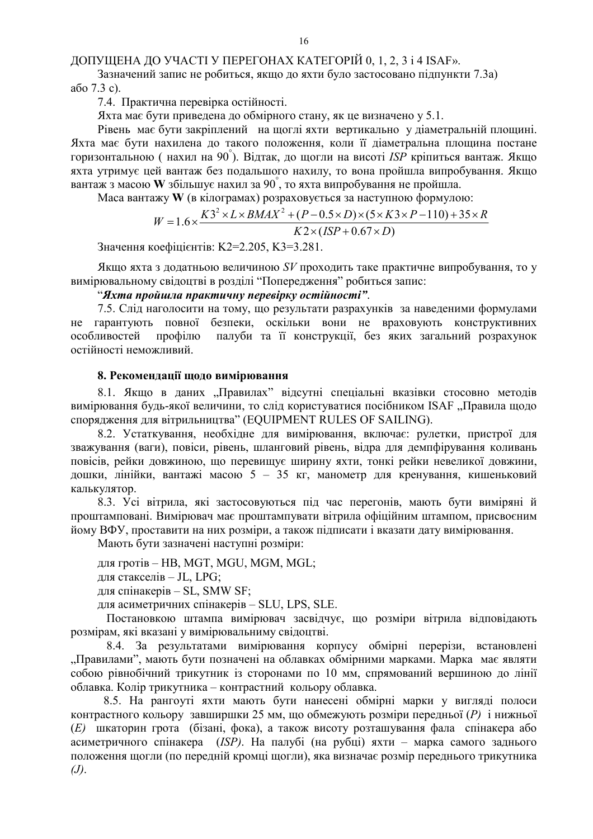ДОПУЩЕНА ДО УЧАСТІ У ПЕРЕГОНАХ КАТЕГОРІЙ 0, 1, 2, 3 і 4 ISAF».

Зазначений запис не робиться, якщо до яхти було застосовано підпункти 7.3а) або 7.3 с).

7.4. Практична перевірка остійності.

Яхта має бути приведена до обмірного стану, як це визначено у 5.1.

Рівень має бути закріплений на щоглі яхти вертикально у діаметральній площині. Яхта має бути нахилена до такого положення, коли її діаметральна площина постане горизонтальною (нахил на 90°). Відтак, до щогли на висоті ISP кріпиться вантаж. Якщо яхта утримує цей вантаж без подальшого нахилу, то вона пройшла випробування. Якщо вантаж з масою W збільшує нахил за 90°, то яхта випробування не пройшла.

Маса вантажу W (в кілограмах) розраховується за наступною формулою:

$$
W = 1.6 \times \frac{K3^{2} \times L \times BMAX^{2} + (P - 0.5 \times D) \times (5 \times K3 \times P - 110) + 35 \times R}{K2 \times (ISP + 0.67 \times D)}
$$

Значення коефіцієнтів: К2=2.205, К3=3.281.

Якщо яхта з додатньою величиною SV проходить таке практичне випробування, то у вимірювальному свідоцтві в розділі "Попередження" робиться запис:

"Яхта пройшла практичну перевірку остійності".

7.5. Слід наголосити на тому, що результати разрахунків за наведеними формулами не гарантують повної безпеки, оскільки вони не враховують конструктивних палуби та її конструкції, без яких загальний розрахунок особливостей профілю остійності неможливий.

# 8. Рекомендації щодо вимірювання

8.1. Якщо в даних "Правилах" відсутні спеціальні вказівки стосовно методів вимірювання будь-якої величини, то слід користуватися посібником ISAF "Правила щодо спорядження для вітрильництва" (EQUIPMENT RULES OF SAILING).

8.2. Устаткування, необхідне для вимірювання, включає: рулетки, пристрої для зважування (ваги), повіси, рівень, шланговий рівень, відра для демпфірування коливань повісів, рейки довжиною, що перевищує ширину яхти, тонкі рейки невеликої довжини, дошки, лінійки, вантажі масою 5 - 35 кг, манометр для кренування, кишеньковий калькулятор.

8.3. Усі вітрила, які застосовуються під час перегонів, мають бути виміряні й проштамповані. Вимірювач має проштампувати вітрила офіційним штампом, присвоєним йому ВФУ, проставити на них розміри, а також підписати і вказати дату вимірювання.

Мають бути зазначені наступні розміри:

для гротів - HB, MGT, MGU, MGM, MGL;

лля стакселів - JL, LPG:

для спінакерів - SL, SMW SF;

для асиметричних спінакерів - SLU, LPS, SLE.

Постановкою штампа вимірювач засвідчує, що розміри вітрила відповідають розмірам, які вказані у вимірювальниму свідоцтві.

8.4. За результатами вимірювання корпусу обмірні перерізи, встановлені "Правилами", мають бути позначені на облавках обмірними марками. Марка має являти собою рівнобічний трикутник із сторонами по 10 мм, спрямований вершиною до лінії облавка. Колір трикутника - контрастний кольору облавка.

8.5. На рангоуті яхти мають бути нанесені обмірні марки у вигляді полоси контрастного кольору завширшки 25 мм, що обмежують розміри передньої (P) і нижньої (E) шкаторин грота (бізані, фока), а також висоту розташування фала спінакера або асиметричного спінакера (ISP). На палубі (на рубці) яхти - марка самого заднього положення щогли (по передній кромці щогли), яка визначає розмір переднього трикутника  $(J).$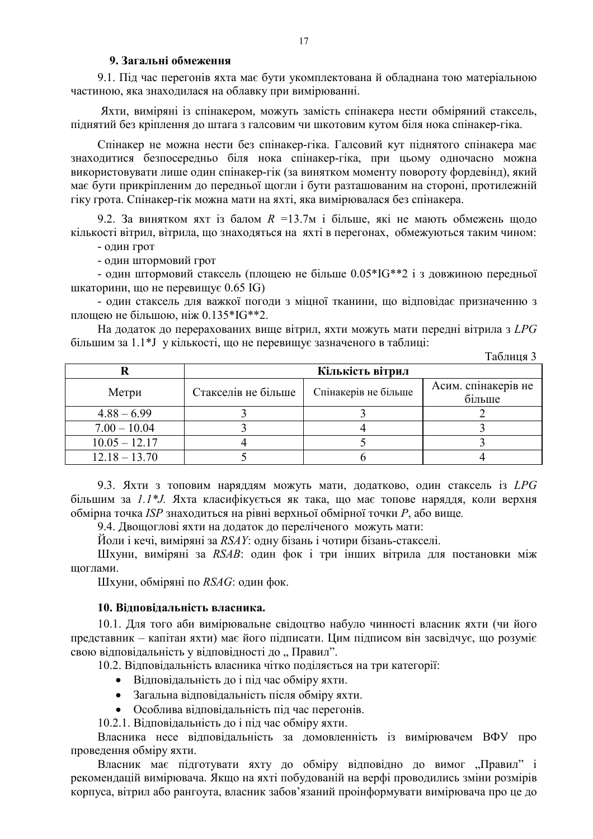# 9. Загальні обмеження

9.1. Під час перегонів яхта має бути укомплектована й обладнана тою матеріальною частиною, яка знаходилася на облавку при вимірюванні.

Яхти, виміряні із спінакером, можуть замість спінакера нести обміряний стаксель, піднятий без кріплення до штага з галсовим чи шкотовим кутом біля нока спінакер-гіка.

Спінакер не можна нести без спінакер-гіка. Галсовий кут піднятого спінакера має знаходитися безпосередньо біля нока спінакер-гіка, при цьому одночасно можна використовувати лише один спінакер-гік (за винятком моменту повороту фордевінд), який має бути прикріпленим до передньої щогли і бути разташованим на стороні, протилежній гіку грота. Спінакер-гік можна мати на яхті, яка вимірювалася без спінакера.

9.2. За винятком яхт із балом  $R = 13.7$ м і більше, які не мають обмежень щодо кількості вітрил, вітрила, що знаходяться на яхті в перегонах, обмежуються таким чином:

- ОЛИН ГРОТ

- ОДИН ШТОРМОВИЙ ГРОТ

- один штормовий стаксель (площею не більше 0.05\*IG\*\*2 і з довжиною передньої шкаторини, що не перевищує 0.65 IG)

- один стаксель для важкої погоди з міцної тканини, що відповідає призначенню з площею не більшою, ніж 0.135\*IG\*\*2.

На додаток до перерахованих вище вітрил, яхти можуть мати передні вітрила з LPG більшим за 1.1\*J у кількості, що не перевищує зазначеного в таблиці:

Таблиця 3  $\bf R$ Кількість вітрил Асим. спінакерів не Стакселів не більше Метри Спінакерів не більше більше  $4.88 - 6.99$  $\overline{2}$ 3 3  $\overline{3}$  $7.00 - 10.04$  $\overline{3}$  $\overline{4}$  $10.05 - 12.17$  $\overline{5}$  $\overline{4}$  $\overline{3}$  $12.18 - 13.70$ 5  $\overline{A}$ 6

9.3. Яхти з топовим наряддям можуть мати, додатково, один стаксель із LPG більшим за 1.1\*Ј. Яхта класифікується як така, що має топове наряддя, коли верхня обмірна точка ISP знаходиться на рівні верхньої обмірної точки P, або вище.

9.4. Двощоглові яхти на додаток до переліченого можуть мати:

Йоли і кечі, виміряні за RSAY: одну бізань і чотири бізань-стакселі.

Шхуни, виміряні за RSAB: один фок і три інших вітрила для постановки між шоглами.

Шхуни, обміряні по RSAG: один фок.

### 10. Вілповілальність власника.

10.1. Для того аби вимірювальне свідоцтво набуло чинності власник яхти (чи його представник – капітан яхти) має його підписати. Цим підписом він засвідчує, що розуміє свою вілповілальність у вілповілності до "Правил".

10.2. Відповідальність власника чітко поділяється на три категорії:

- Відповідальність до і під час обміру яхти.
- Загальна відповідальність після обміру яхти.
- Особлива відповідальність під час перегонів.

10.2.1. Відповідальність до і під час обміру яхти.

Власника несе вілповілальність за домовленність із вимірювачем ВФУ про проведення обміру яхти.

Власник має підготувати яхту до обміру відповідно до вимог "Правил" і рекомендацій вимірювача. Якщо на яхті побудованій на верфі проводились зміни розмірів корпуса, вітрил або рангоута, власник забов'язаний проінформувати вимірювача про це до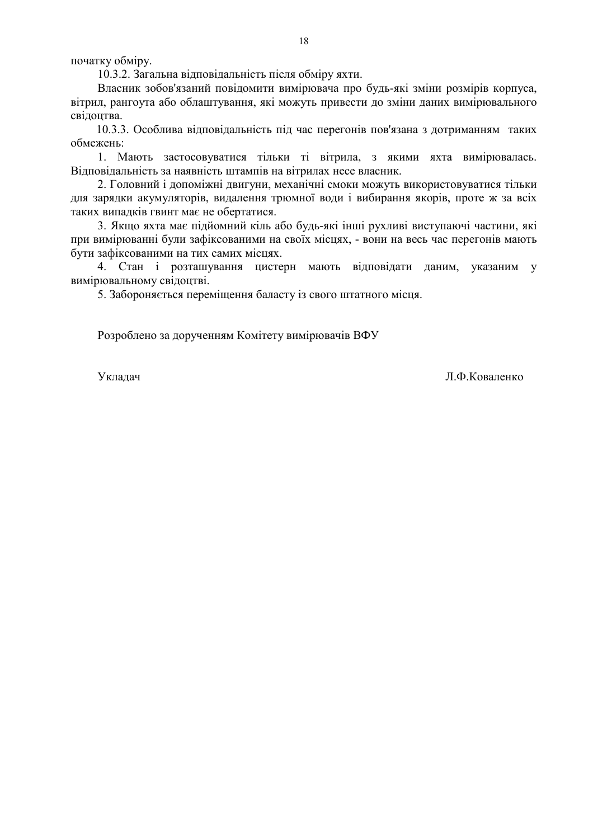початку обміру.

10.3.2. Загальна відповідальність після обміру яхти.

Власник зобов'язаний повідомити вимірювача про будь-які зміни розмірів корпуса, вітрил, рангоута або облаштування, які можуть привести до зміни даних вимірювального свідоцтва.

10.3.3. Особлива вілповілальність піл час перегонів пов'язана з лотриманням таких обмежень:

1. Мають застосовуватися тільки ті вітрила, з якими яхта вимірювалась. Відповідальність за наявність штампів на вітрилах несе власник.

2. Головний і допоміжні двигуни, механічні смоки можуть використовуватися тільки для зарядки акумуляторів, видалення трюмної води і вибирання якорів, проте ж за всіх таких випадків гвинт має не обертатися.

3. Якщо яхта має підйомний кіль або будь-які інші рухливі виступаючі частини, які при вимірюванні були зафіксованими на своїх місцях, - вони на весь час перегонів мають бути зафіксованими на тих самих місцях.

4. Стан і розташування цистерн мають відповідати даним, указаним у вимірювальному свідоцтві.

5. Забороняється переміщення баласту із свого штатного місця.

Розроблено за дорученням Комітету вимірювачів ВФУ

Уклалач

Л.Ф.Коваленко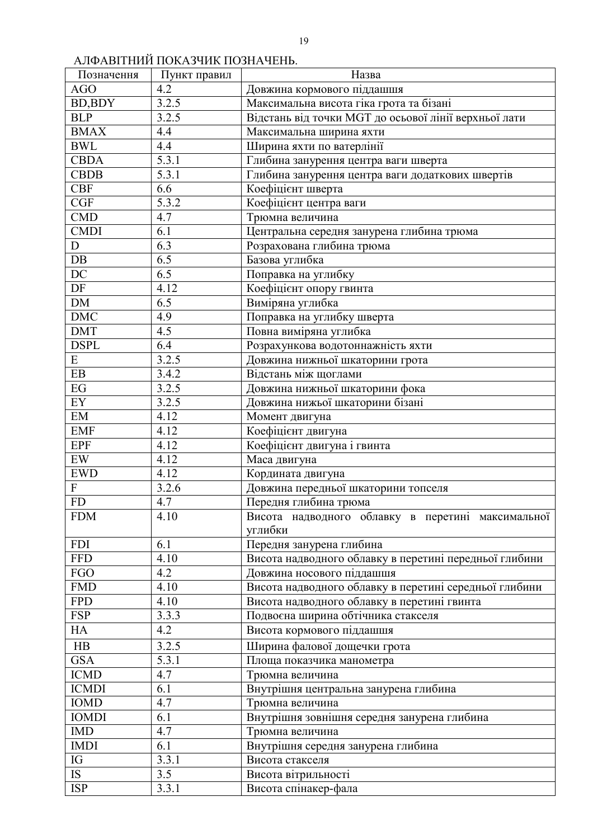# АЛФАВІТНИЙ ПОКАЗЧИК ПОЗНАЧЕНЬ.

| Позначення                | Пункт правил     | Назва                                                  |
|---------------------------|------------------|--------------------------------------------------------|
| AGO                       | 4.2              | Довжина кормового піддашшя                             |
| <b>BD, BDY</b>            | 3.2.5            | Максимальна висота гіка грота та бізані                |
| <b>BLP</b>                | 3.2.5            | Відстань від точки MGT до осьової лінії верхньої лати  |
| <b>BMAX</b>               | 4.4              | Максимальна ширина яхти                                |
| <b>BWL</b>                | 4.4              | Ширина яхти по ватерлінії                              |
| <b>CBDA</b>               | 5.3.1            | Глибина занурення центра ваги шверта                   |
| <b>CBDB</b>               | 5.3.1            | Глибина занурення центра ваги додаткових швертів       |
| <b>CBF</b>                | 6.6              | Коефіцієнт шверта                                      |
| CGF                       | 5.3.2            | Коефіцієнт центра ваги                                 |
| <b>CMD</b>                | 4.7              | Трюмна величина                                        |
| <b>CMDI</b>               | 6.1              | Центральна середня занурена глибина трюма              |
| D                         | 6.3              | Розрахована глибина трюма                              |
| $DB$                      | 6.5              | Базова углибка                                         |
| DC                        | $\overline{6.5}$ | Поправка на углибку                                    |
| DF                        | 4.12             | Коефіцієнт опору гвинта                                |
| <b>DM</b>                 | 6.5              | Виміряна углибка                                       |
| <b>DMC</b>                | 4.9              | Поправка на углибку шверта                             |
| <b>DMT</b>                | 4.5              | Повна виміряна углибка                                 |
| <b>DSPL</b>               | 6.4              | Розрахункова водотоннажність яхти                      |
| E                         | 3.2.5            | Довжина нижньої шкаторини грота                        |
| EB                        | 3.4.2            | Відстань між щоглами                                   |
| EG                        | 3.2.5            | Довжина нижньої шкаторини фока                         |
| EY                        | 3.2.5            | Довжина нижьої шкаторини бізані                        |
| EM                        | 4.12             | Момент двигуна                                         |
| <b>EMF</b>                | 4.12             | Коефіцієнт двигуна                                     |
| <b>EPF</b>                | 4.12             | Коефіцієнт двигуна і гвинта                            |
| EW                        | 4.12             | Маса двигуна                                           |
| <b>EWD</b>                | 4.12             | Кордината двигуна                                      |
| $\boldsymbol{\mathrm{F}}$ | 3.2.6            | Довжина передньої шкаторини топселя                    |
| <b>FD</b>                 | 4.7              | Передня глибина трюма                                  |
| <b>FDM</b>                | 4.10             | Висота надводного облавку в перетині максимальної      |
|                           |                  | углибки                                                |
| <b>FDI</b>                | 6.1              | Передня занурена глибина                               |
| <b>FFD</b>                | 4.10             | Висота надводного облавку в перетині передньої глибини |
| <b>FGO</b>                | 4.2              | Довжина носового піддашшя                              |
| <b>FMD</b>                | 4.10             | Висота надводного облавку в перетині середньої глибини |
| <b>FPD</b>                | 4.10             | Висота надводного облавку в перетині гвинта            |
| <b>FSP</b>                | 3.3.3            | Подвоєна ширина обтічника стакселя                     |
| HA                        | 4.2              | Висота кормового піддашшя                              |
| HB                        | 3.2.5            | Ширина фалової дощечки грота                           |
| <b>GSA</b>                | 5.3.1            |                                                        |
| <b>ICMD</b>               | 4.7              | Площа показчика манометра                              |
|                           |                  | Трюмна величина                                        |
| <b>ICMDI</b>              | 6.1              | Внутрішня центральна занурена глибина                  |
| <b>IOMD</b>               | 4.7              | Трюмна величина                                        |
| <b>IOMDI</b>              | 6.1              | Внутрішня зовнішня середня занурена глибина            |
| <b>IMD</b>                | 4.7              | Трюмна величина                                        |
| <b>IMDI</b>               | 6.1              | Внутрішня середня занурена глибина                     |
| IG                        | 3.3.1            | Висота стакселя                                        |
| <b>IS</b>                 | 3.5              | Висота вітрильності                                    |
| <b>ISP</b>                | 3.3.1            | Висота спінакер-фала                                   |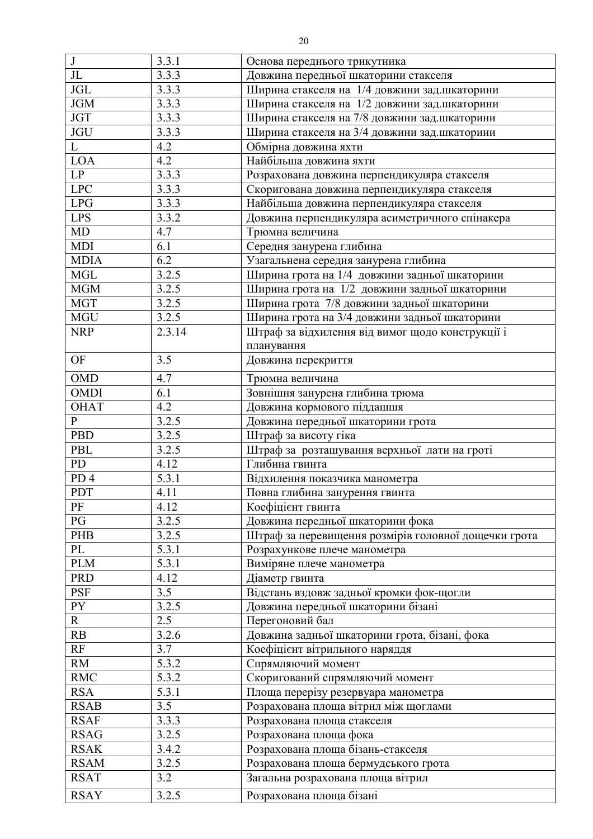| $\bf J$                | 3.3.1  | Основа переднього трикутника                         |
|------------------------|--------|------------------------------------------------------|
| $\overline{\text{JL}}$ | 3.3.3  | Довжина передньої шкаторини стакселя                 |
| <b>JGL</b>             | 3.3.3  | Ширина стакселя на 1/4 довжини зад.шкаторини         |
| <b>JGM</b>             | 3.3.3  | Ширина стакселя на 1/2 довжини зад.шкаторини         |
| <b>JGT</b>             | 3.3.3  | Ширина стакселя на 7/8 довжини зад.шкаторини         |
| $\rm JGU$              | 3.3.3  | Ширина стакселя на 3/4 довжини зад.шкаторини         |
| $\overline{L}$         | 4.2    | Обмірна довжина яхти                                 |
| <b>LOA</b>             | 4.2    | Найбільша довжина яхти                               |
| LP                     | 3.3.3  | Розрахована довжина перпендикуляра стакселя          |
| <b>LPC</b>             | 3.3.3  | Скоригована довжина перпендикуляра стакселя          |
| <b>LPG</b>             | 3.3.3  | Найбільша довжина перпендикуляра стакселя            |
| <b>LPS</b>             | 3.3.2  | Довжина перпендикуляра асиметричного спінакера       |
| MD                     | 4.7    | Трюмна величина                                      |
| <b>MDI</b>             | 6.1    | Середня занурена глибина                             |
| <b>MDIA</b>            | 6.2    | Узагальнена середня занурена глибина                 |
| <b>MGL</b>             | 3.2.5  | Ширина грота на 1/4 довжини задньої шкаторини        |
| <b>MGM</b>             | 3.2.5  | Ширина грота на 1/2 довжини задньої шкаторини        |
| <b>MGT</b>             | 3.2.5  | Ширина грота 7/8 довжини задньої шкаторини           |
| <b>MGU</b>             | 3.2.5  | Ширина грота на 3/4 довжини задньої шкаторини        |
| <b>NRP</b>             | 2.3.14 |                                                      |
|                        |        | Штраф за відхилення від вимог щодо конструкції і     |
|                        |        | планування                                           |
| <b>OF</b>              | 3.5    | Довжина перекриття                                   |
| <b>OMD</b>             | 4.7    | Трюмна величина                                      |
| <b>OMDI</b>            | 6.1    | Зовнішня занурена глибина трюма                      |
| <b>OHAT</b>            | 4.2    | Довжина кормового піддашшя                           |
| ${\bf P}$              | 3.2.5  | Довжина передньої шкаторини грота                    |
| <b>PBD</b>             | 3.2.5  | Штраф за висоту гіка                                 |
| PBL                    | 3.2.5  | Штраф за розташування верхньої лати на гроті         |
| <b>PD</b>              | 4.12   | Глибина гвинта                                       |
| PD <sub>4</sub>        | 5.3.1  | Відхилення показчика манометра                       |
| <b>PDT</b>             | 4.11   | Повна глибина занурення гвинта                       |
| PF                     | 4.12   | Коефіцієнт гвинта                                    |
| PG                     | 3.2.5  | Довжина передньої шкаторини фока                     |
| PHB                    | 3.2.5  | Штраф за перевищення розмірів головної дощечки грота |
| PL                     | 5.3.1  | Розрахункове плече манометра                         |
| <b>PLM</b>             | 5.3.1  | Виміряне плече манометра                             |
| <b>PRD</b>             | 4.12   | Діаметр гвинта                                       |
| <b>PSF</b>             | 3.5    | Відстань вздовж задньої кромки фок-щогли             |
| PY                     | 3.2.5  | Довжина передньої шкаторини бізані                   |
| $\mathbf{R}$           | 2.5    | Перегоновий бал                                      |
| RB                     | 3.2.6  | Довжина задньої шкаторини грота, бізані, фока        |
| RF                     | 3.7    | Коефіцієнт вітрильного наряддя                       |
| <b>RM</b>              | 5.3.2  | Спрямляючий момент                                   |
| <b>RMC</b>             | 5.3.2  | Скоригований спрямляючий момент                      |
| <b>RSA</b>             | 5.3.1  | Площа перерізу резервуара манометра                  |
| <b>RSAB</b>            | 3.5    | Розрахована площа вітрил між щоглами                 |
| <b>RSAF</b>            | 3.3.3  | Розрахована площа стакселя                           |
| <b>RSAG</b>            | 3.2.5  | Розрахована площа фока                               |
|                        |        |                                                      |
| <b>RSAK</b>            | 3.4.2  | Розрахована площа бізань-стакселя                    |
| <b>RSAM</b>            | 3.2.5  | Розрахована площа бермудського грота                 |
| <b>RSAT</b>            | 3.2    | Загальна розрахована площа вітрил                    |
| <b>RSAY</b>            | 3.2.5  | Розрахована площа бізані                             |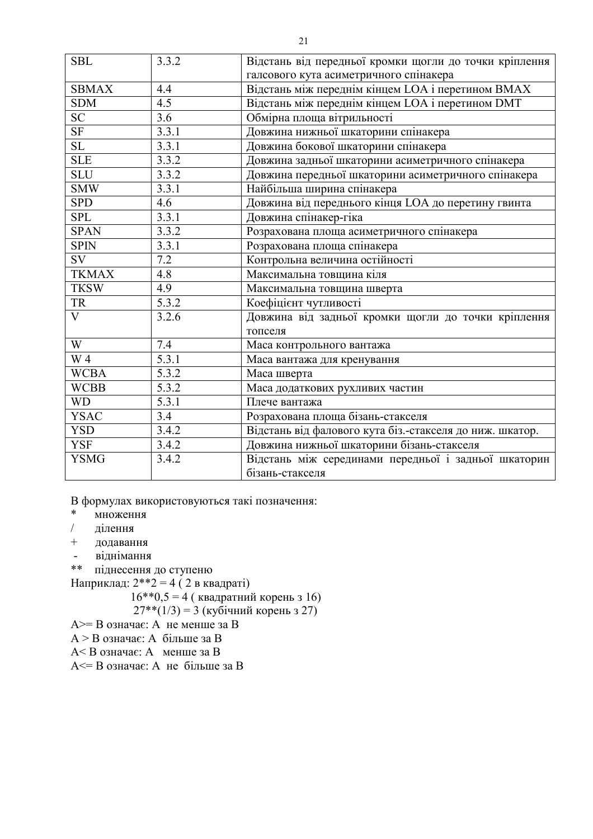| <b>SBL</b>     | 3.3.2 | Відстань від передньої кромки щогли до точки кріплення   |
|----------------|-------|----------------------------------------------------------|
|                |       | галсового кута асиметричного спінакера                   |
| <b>SBMAX</b>   | 4.4   | Відстань між переднім кінцем LOA і перетином ВМАХ        |
| <b>SDM</b>     | 4.5   | Відстань між переднім кінцем LOA і перетином DMT         |
| <b>SC</b>      | 3.6   | Обмірна площа вітрильності                               |
| SF             | 3.3.1 | Довжина нижньої шкаторини спінакера                      |
| <b>SL</b>      | 3.3.1 | Довжина бокової шкаторини спінакера                      |
| <b>SLE</b>     | 3.3.2 | Довжина задньої шкаторини асиметричного спінакера        |
| <b>SLU</b>     | 3.3.2 | Довжина передньої шкаторини асиметричного спінакера      |
| <b>SMW</b>     | 3.3.1 | Найбільша ширина спінакера                               |
| <b>SPD</b>     | 4.6   | Довжина від переднього кінця LOA до перетину гвинта      |
| <b>SPL</b>     | 3.3.1 | Довжина спінакер-гіка                                    |
| <b>SPAN</b>    | 3.3.2 | Розрахована площа асиметричного спінакера                |
| <b>SPIN</b>    | 3.3.1 | Розрахована площа спінакера                              |
| SV             | 7.2   | Контрольна величина остійності                           |
| <b>TKMAX</b>   | 4.8   | Максимальна товщина кіля                                 |
| <b>TKSW</b>    | 4.9   | Максимальна товщина шверта                               |
| <b>TR</b>      | 5.3.2 | Коефіцієнт чутливості                                    |
| $\overline{V}$ | 3.2.6 | Довжина від задньої кромки щогли до точки кріплення      |
|                |       | топселя                                                  |
| W              | 7.4   | Маса контрольного вантажа                                |
| W 4            | 5.3.1 | Маса вантажа для кренування                              |
| <b>WCBA</b>    | 5.3.2 | Маса шверта                                              |
| <b>WCBB</b>    | 5.3.2 | Маса додаткових рухливих частин                          |
| <b>WD</b>      | 5.3.1 | Плече вантажа                                            |
| <b>YSAC</b>    | 3.4   | Розрахована площа бізань-стакселя                        |
| <b>YSD</b>     | 3.4.2 | Відстань від фалового кута біз.-стакселя до ниж. шкатор. |
| <b>YSF</b>     | 3.4.2 | Довжина нижньої шкаторини бізань-стакселя                |
| <b>YSMG</b>    | 3.4.2 | Відстань між серединами передньої і задньої шкаторин     |
|                |       | бізань-стакселя                                          |

В формулах використовуються такі позначення:

- $\ast$ множення
- ділення  $\sqrt{2}$
- $+$ додавання
- віднімання  $\omega$
- \*\* піднесення до ступеню

Наприклад:  $2^{**}2 = 4(2 \text{ в квадраті})$ 

 $16**0,5=4$  (квадратний корень з 16)

 $27**$ (1/3) = 3 (кубічний корень з 27)

 $A \ge B$  означає: А не менше за В

 $A > B$  означає: А більше за В

A < B означає: А менше за В

 $A \le B$  означає: А не більше за В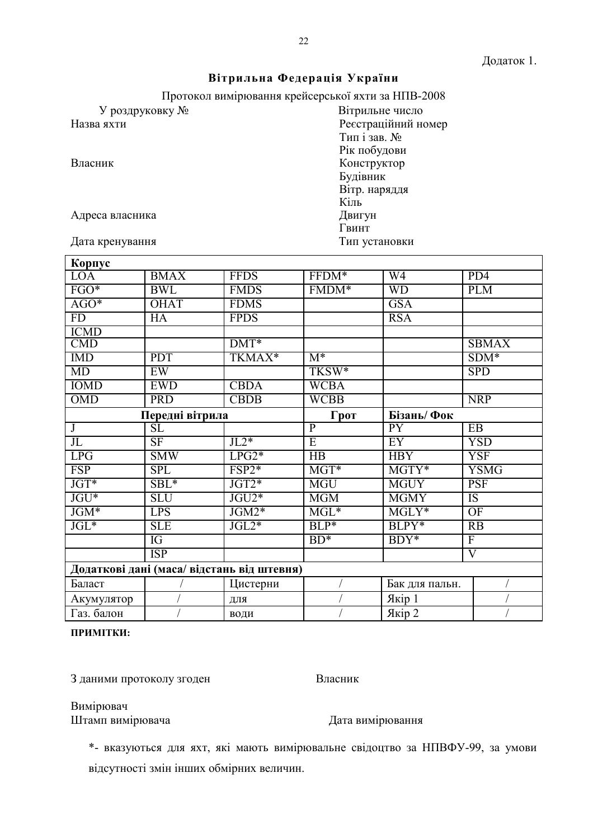# Вітрильна Федерація України

Протокол вимірювання крейсерської яхти за НПВ-2008

Вітрильне число

 $T$ ип і зав.  $N_2$ Рік побудови

Конструктор Будівник Вітр. наряддя

Тип установки

Кіль Двигун

Гвинт

Ресстраційний номер

У роздруковку № Назва яхти

Власник

Адреса власника

Дата кренування

| Корпус                  |                        |                                            |                           |                 |                    |
|-------------------------|------------------------|--------------------------------------------|---------------------------|-----------------|--------------------|
| <b>LOA</b>              | <b>BMAX</b>            | <b>FFDS</b>                                | FFDM*                     | W4              | PD4                |
| FGO*                    | <b>BWL</b>             | <b>FMDS</b>                                | FMDM*                     | <b>WD</b>       | <b>PLM</b>         |
| $AGO*$                  | <b>OHAT</b>            | <b>FDMS</b>                                |                           | <b>GSA</b>      |                    |
| FD                      | HA                     | <b>FPDS</b>                                |                           | <b>RSA</b>      |                    |
| <b>ICMD</b>             |                        |                                            |                           |                 |                    |
| $\overline{\text{CMD}}$ |                        | $\overline{DMT^*}$                         |                           |                 | <b>SBMAX</b>       |
| <b>IMD</b>              | <b>PDT</b>             | TKMAX*                                     | $M^*$                     |                 | $SDM*$             |
| MD                      | EW                     |                                            | TKSW*                     |                 | <b>SPD</b>         |
| <b>IOMD</b>             | <b>EWD</b>             | <b>CBDA</b>                                | <b>WCBA</b>               |                 |                    |
| <b>OMD</b>              | <b>PRD</b>             | <b>CBDB</b>                                | <b>WCBB</b>               |                 | <b>NRP</b>         |
| Передні вітрила         |                        | Грот                                       | Бізань/Фок                |                 |                    |
| $\mathbf{J}$            | $\overline{\text{SL}}$ |                                            | $\overline{P}$            | $\overline{PY}$ | EB                 |
| $J_{\rm L}$             | $\overline{\text{SF}}$ | $JL2*$                                     | $\overline{E}$            | $\overline{EY}$ | <b>YSD</b>         |
| <b>LPG</b>              | <b>SMW</b>             | $LP\overline{G2*}$                         | HB                        | <b>HBY</b>      | <b>YSF</b>         |
| <b>FSP</b>              | <b>SPL</b>             | $FSP2*$                                    | $MGT*$                    | MGTY*           | <b>YSMG</b>        |
| JGT*                    | SBL*                   | JGT2*                                      | <b>MGU</b>                | <b>MGUY</b>     | <b>PSF</b>         |
| $JGU*$                  | <b>SLU</b>             | $JGU2*$                                    | <b>MGM</b>                | <b>MGMY</b>     | <b>IS</b>          |
| JGM*                    | <b>LPS</b>             | $JGM2*$                                    | $\overline{\text{MGL}^*}$ | $MGLY*$         | OF                 |
| $JGL^*$                 | <b>SLE</b>             | $JGL2*$                                    | BLP*                      | BLPY*           | <b>RB</b>          |
|                         | IG                     |                                            | $BD^*$                    | BDY*            | $\overline{F}$     |
|                         | <b>ISP</b>             |                                            |                           |                 | $\overline{\rm V}$ |
|                         |                        | Додаткові дані (маса/ відстань від штевня) |                           |                 |                    |
| Баласт                  |                        | Цистерни                                   |                           | Бак для пальн.  |                    |
| Акумулятор              |                        | ДЛЯ                                        |                           | Якір 1          |                    |
| Газ. балон              |                        | води                                       |                           | Якір 2          |                    |

### ПРИМІТКИ:

3 даними протоколу згоден

Власник

Вимірювач Штамп вимірювача

Дата вимірювання

\*- вказуються для яхт, які мають вимірювальне свідоцтво за НПВФУ-99, за умови відсутності змін інших обмірних величин.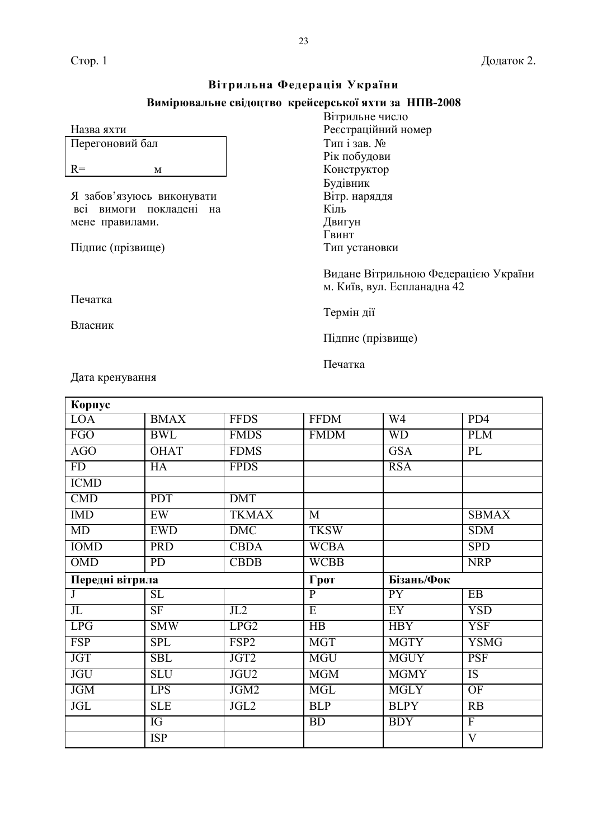# $B$ ітрильна Федерація України

# **Вимірювальне свідоцтво крейсерської яхти за НПВ-2008**

|                            | Вітрильне число                      |
|----------------------------|--------------------------------------|
| Назва яхти                 | Реєстраційний номер                  |
| Перегоновий бал            | Типізав. №                           |
|                            | Рік побудови                         |
| $R=$<br>M                  | Конструктор                          |
|                            | Будівник                             |
| Я забов'язуюсь виконувати  | Вітр. наряддя                        |
| вимоги покладені на<br>BC1 | Кіль                                 |
| мене правилами.            | Двигун                               |
|                            | Гвинт                                |
| Підпис (прізвище)          | Тип установки                        |
|                            |                                      |
|                            | Видане Вітрильною Федерацією України |
|                            | м. Київ, вул. Еспланадна 42          |
| Печатка                    |                                      |
|                            | Термін дії                           |
| Власник                    |                                      |
|                            | Підпис (прізвище)                    |
|                            |                                      |
|                            | Печатка                              |
| Дата кренування            |                                      |
|                            |                                      |

| Корпус                  |                         |                  |                 |                 |                 |
|-------------------------|-------------------------|------------------|-----------------|-----------------|-----------------|
| <b>LOA</b>              | <b>BMAX</b>             | <b>FFDS</b>      | <b>FFDM</b>     | W <sub>4</sub>  | PD4             |
| <b>FGO</b>              | <b>BWL</b>              | <b>FMDS</b>      | <b>FMDM</b>     | <b>WD</b>       | <b>PLM</b>      |
| AGO                     | <b>OHAT</b>             | <b>FDMS</b>      |                 | <b>GSA</b>      | PL              |
| FD                      | HA                      | <b>FPDS</b>      |                 | <b>RSA</b>      |                 |
| <b>ICMD</b>             |                         |                  |                 |                 |                 |
| <b>CMD</b>              | <b>PDT</b>              | <b>DMT</b>       |                 |                 |                 |
| <b>IMD</b>              | EW                      | <b>TKMAX</b>     | $\overline{M}$  |                 | <b>SBMAX</b>    |
| <b>MD</b>               | <b>EWD</b>              | <b>DMC</b>       | <b>TKSW</b>     |                 | <b>SDM</b>      |
| <b>IOMD</b>             | <b>PRD</b>              | <b>CBDA</b>      | <b>WCBA</b>     |                 | <b>SPD</b>      |
| <b>OMD</b>              | $\overline{PD}$         | <b>CBDB</b>      | <b>WCBB</b>     |                 | <b>NRP</b>      |
|                         |                         |                  |                 |                 |                 |
| Передні вітрила         |                         |                  | Грот            | Бізань/Фок      |                 |
| $\overline{\mathbf{J}}$ | $\overline{\text{SL}}$  |                  | $\overline{P}$  | $\overline{PY}$ | EB              |
| $J_{\rm L}$             | SF                      | JL2              | $\overline{E}$  | EY              | <b>YSD</b>      |
| <b>LPG</b>              | <b>SMW</b>              | LPG2             | $\overline{HB}$ | <b>HBY</b>      | <b>YSF</b>      |
| <b>FSP</b>              | $\overline{\text{SPL}}$ | FSP <sub>2</sub> | <b>MGT</b>      | <b>MGTY</b>     | <b>YSMG</b>     |
| <b>JGT</b>              | <b>SBL</b>              | JGT2             | <b>MGU</b>      | <b>MGUY</b>     | <b>PSF</b>      |
| <b>JGU</b>              | <b>SLU</b>              | JGU2             | <b>MGM</b>      | <b>MGMY</b>     | <b>IS</b>       |
| <b>JGM</b>              | <b>LPS</b>              | JGM2             | <b>MGL</b>      | <b>MGLY</b>     | $\overline{OF}$ |
| <b>JGL</b>              | <b>SLE</b>              | JGL2             | <b>BLP</b>      | <b>BLPY</b>     | $\overline{RB}$ |
|                         | IG                      |                  | BD              | <b>BDY</b>      | $\overline{F}$  |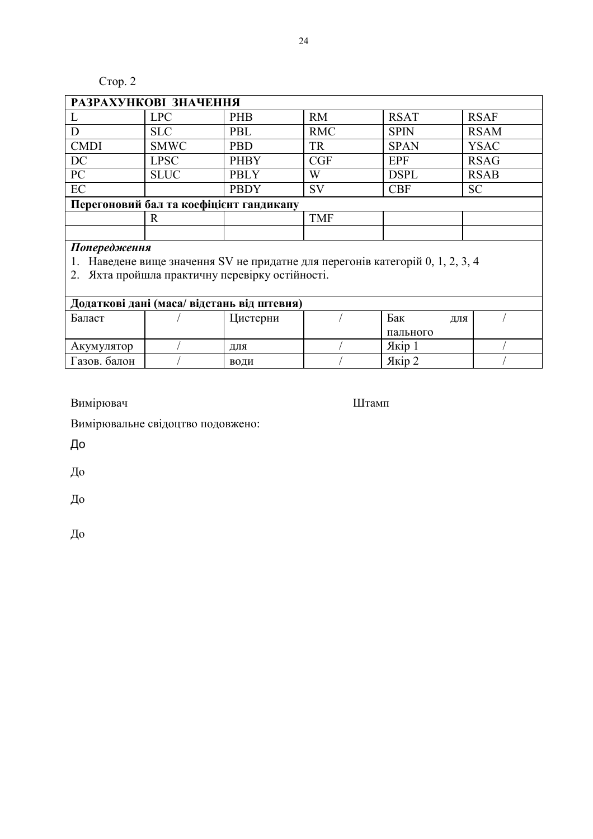# Стор. 2

| РАЗРАХУНКОВІ ЗНАЧЕННЯ                   |             |             |            |             |             |
|-----------------------------------------|-------------|-------------|------------|-------------|-------------|
|                                         | <b>LPC</b>  | <b>PHB</b>  | <b>RM</b>  | <b>RSAT</b> | <b>RSAF</b> |
|                                         | <b>SLC</b>  | <b>PBL</b>  | <b>RMC</b> | <b>SPIN</b> | <b>RSAM</b> |
| <b>CMDI</b>                             | <b>SMWC</b> | <b>PBD</b>  | <b>TR</b>  | <b>SPAN</b> | <b>YSAC</b> |
| DC                                      | <b>LPSC</b> | <b>PHBY</b> | CGF        | <b>EPF</b>  | <b>RSAG</b> |
| PC                                      | <b>SLUC</b> | <b>PBLY</b> | W          | <b>DSPL</b> | <b>RSAB</b> |
| EC                                      |             | <b>PBDY</b> | SV         | <b>CBF</b>  | <b>SC</b>   |
| Перегоновий бал та коефіцієнт гандикапу |             |             |            |             |             |
|                                         | R           |             | <b>TMF</b> |             |             |
|                                         |             |             |            |             |             |

Попередження<br>1. Наведене вище значення SV не придатне для перегонів категорій 0, 1, 2, 3, 4<br>2. Яхта пройшла практичну перевірку остійності.

| Додаткові дані (маса/ відстань від штевня) |  |          |  |          |     |  |
|--------------------------------------------|--|----------|--|----------|-----|--|
| Баласт                                     |  | Цистерни |  | Бак      | лля |  |
|                                            |  |          |  | пального |     |  |
| Акумулятор                                 |  | ЛЛЯ      |  | Якір 1   |     |  |
| Газов. балон                               |  | води     |  | Якір 2   |     |  |

Вимірювач

Штамп

Вимірювальне свідоцтво подовжено:

До

До

До

До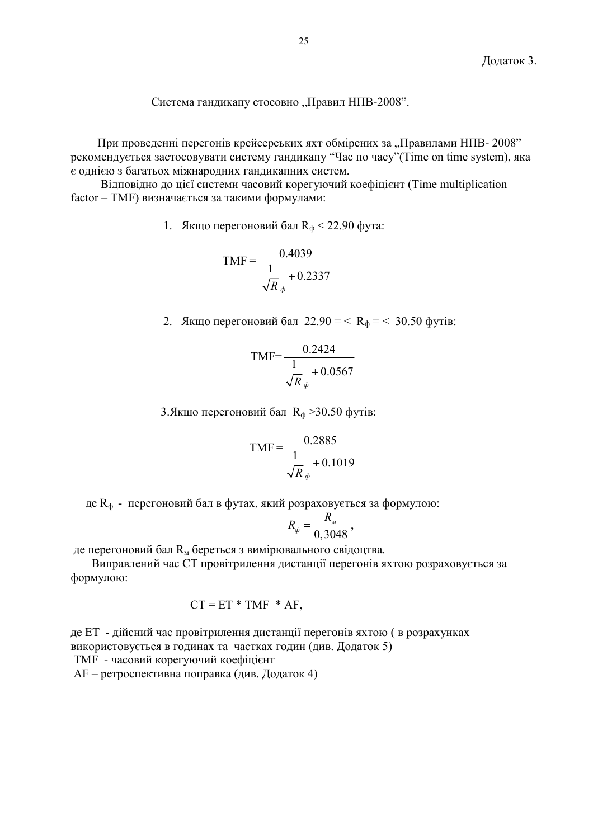Система гандикапу стосовно "Правил НПВ-2008".

При проведенні перегонів крейсерських яхт обмірених за "Правилами НПВ-2008" рекомендується застосовувати систему гандикапу "Час по часу" (Time on time system), яка є однією з багатьох міжнародних гандикапних систем.

Відповідно до цієї системи часовий корегуючий коефіцієнт (Time multiplication factor - TMF) визначається за такими формулами:

1. Якщо перегоновий бал  $R_{\phi}$  < 22.90 фута:

$$
TMF = \frac{0.4039}{\frac{1}{\sqrt{R}_{\phi}} + 0.2337}
$$

2. Якщо перегоновий бал  $22.90 = < R_{\phi} = < 30.50$  футів:

$$
TMF = \frac{0.2424}{\frac{1}{\sqrt{R}_{\phi}} + 0.0567}
$$

3. Якщо перегоновий бал  $R_{\phi}$  > 30.50 футів:

$$
TMF = \frac{0.2885}{\frac{1}{\sqrt{R}} + 0.1019}
$$

де  $R_\Phi$  - перегоновий бал в футах, який розраховується за формулою:

$$
R_{\phi} = \frac{R_{\mu}}{0,3048} \,,
$$

де перегоновий бал  $R_M$  береться з вимірювального свідоцтва.

Виправлений час СТ провітрилення дистанції перегонів яхтою розраховується за формулою:

$$
CT = ET * TMF * AF,
$$

де ЕТ - дійсний час провітрилення дистанції перегонів яхтою ( в розрахунках використовується в годинах та частках годин (див. Додаток 5) ТМF - часовий корегуючий коефіцієнт

 $AF$  – ретроспективна поправка (див. Додаток 4)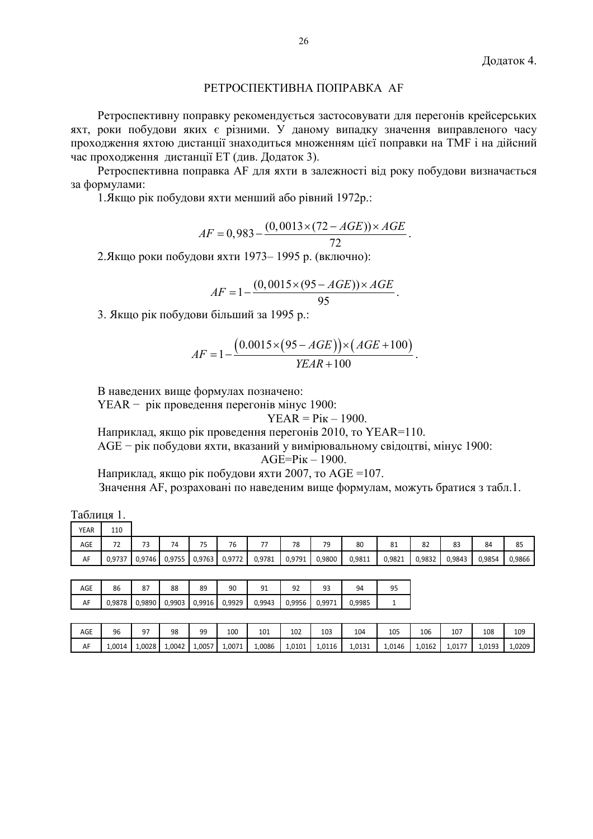# РЕТРОСПЕКТИВНА ПОПРАВКА АҒ

Ретроспективну поправку рекомендується застосовувати для перегонів крейсерських яхт, роки побудови яких є різними. У даному випадку значення виправленого часу проходження яхтою дистанції знаходиться множенням цієї поправки на ТМГ і на дійсний час проходження дистанції ЕТ (див. Додаток 3).

Ретроспективна поправка АF для яхти в залежності від року побудови визначається за формулами:

1. Якщо рік побудови яхти менший або рівний 1972р.:

$$
AF = 0.983 - \frac{(0.0013 \times (72 - AGE)) \times AGE}{72}.
$$

2. Якщо роки побудови яхти 1973-1995 р. (включно):

$$
AF = 1 - \frac{(0,0015 \times (95 - AGE)) \times AGE}{95}.
$$

3. Якщо рік побудови більший за 1995 р.:

$$
AF = 1 - \frac{(0.0015 \times (95 - AGE)) \times (AGE + 100)}{YEAR + 100}.
$$

В наведених вище формулах позначено:

YEAR - рік проведення перегонів мінус 1900:

$$
YEAR = \text{Pik} - 1900
$$

Наприклад, якщо рік проведення перегонів 2010, то YEAR=110.

AGE - рік побудови яхти, вказаний у вимірювальному свідоцтві, мінус 1900:

$$
AGE = \text{Pik} - 1900
$$

Наприклад, якщо рік побудови яхти 2007, то AGE =107.

Значення АF, розраховані по наведеним вище формулам, можуть братися з табл.1.

| ш |  |
|---|--|
|   |  |

| <b>YEAR</b> | 110                             |                       |                                |              |        |                |        |        |        |        |        |        |        |        |
|-------------|---------------------------------|-----------------------|--------------------------------|--------------|--------|----------------|--------|--------|--------|--------|--------|--------|--------|--------|
| AGE         | $\overline{\phantom{a}}$<br>. . | $\overline{ }$<br>ر , | $\overline{\phantom{a}}$<br>′4 | $- -$<br>ر ، | 76     | --<br>$\prime$ | 78     | 79     | 80     | 81     | 82     | 83     | 84     | 85     |
| AF          | 0,9737                          | 0,9746                | 0,9755                         | 0,9763       | 0,9772 | 0,9781         | 0,9791 | 0,9800 | 0,9811 | 0,9821 | 0,9832 | 0,9843 | 0,9854 | 0,9866 |

| AGE | 86     | 87     | 88     | 89     | 90     | q      | --     | 93   | 94     |  |
|-----|--------|--------|--------|--------|--------|--------|--------|------|--------|--|
| AF  | 0.9878 | 0.9890 | 0.9903 | 0.9916 | 0,9929 | 0.9943 | 0.9956 | qq7' | 0.9985 |  |

| AGE | 96     | 97     | 98     | 99     | 100    | 101    | 102<br>___ | 103    | 104<br>$\sim$ | 105    | 106    | 107    | 108    | 109    |
|-----|--------|--------|--------|--------|--------|--------|------------|--------|---------------|--------|--------|--------|--------|--------|
| AF  | 1,0014 | 1,0028 | 1,0042 | 1,0057 | 1,0071 | 1,0086 | 1,0101     | 1,0116 | 1.0131        | 1,0146 | 1,0162 | 1,0177 | 1.0193 | 1,0209 |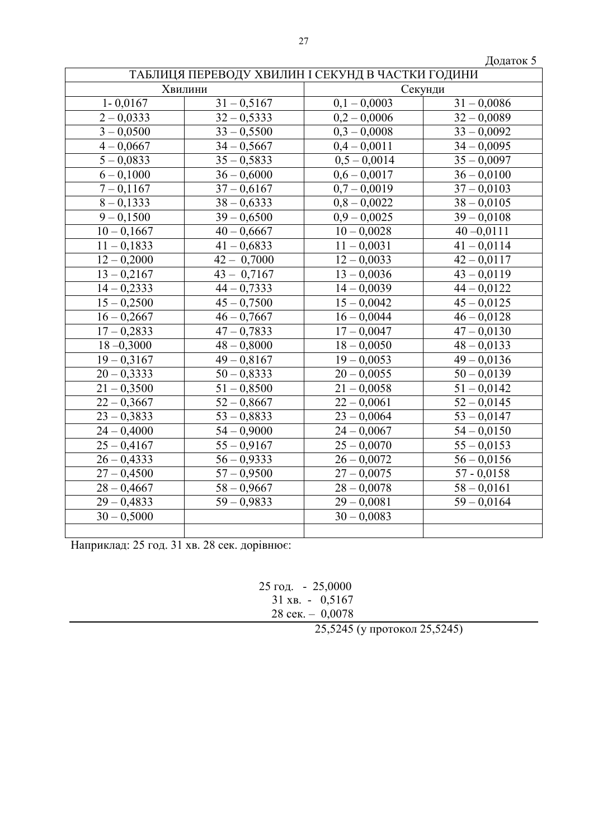|               |                          |                                                  | Додаток 5                |
|---------------|--------------------------|--------------------------------------------------|--------------------------|
|               |                          | ТАБЛИЦЯ ПЕРЕВОДУ ХВИЛИН І СЕКУНД В ЧАСТКИ ГОДИНИ |                          |
|               | Хвилини                  |                                                  | Секунди                  |
| $1 - 0,0167$  | $\overline{31 - 0,}5167$ | $0,1 - 0,0003$                                   | $\overline{31} - 0,0086$ |
| $2 - 0,0333$  | $32 - 0,5333$            | $0,2 - 0,0006$                                   | $32 - 0,0089$            |
| $3 - 0,0500$  | $33 - 0,5500$            | $0,3 - 0,0008$                                   | $33 - 0,0092$            |
| $4 - 0,0667$  | $34 - 0,5667$            | $0,4 - 0,0011$                                   | $34 - 0,0095$            |
| $5 - 0,0833$  | $35 - 0,5833$            | $0,5 - 0,0014$                                   | $35 - 0,0097$            |
| $6 - 0,1000$  | $36 - 0,6000$            | $0.6 - 0.0017$                                   | $36 - 0,0100$            |
| $7 - 0,1167$  | $37 - 0,6167$            | $0,7 - 0,0019$                                   | $37 - 0,0103$            |
| $8 - 0,1333$  | $38 - 0,6333$            | $0,8 - 0,0022$                                   | $38 - 0,0105$            |
| $9 - 0,1500$  | $39 - 0,6500$            | $0,9 - 0,0025$                                   | $39 - 0,0108$            |
| $10 - 0,1667$ | $40 - 0,6667$            | $10 - 0,0028$                                    | $40 - 0.0111$            |
| $11 - 0,1833$ | $41 - 0,6833$            | $11 - 0,0031$                                    | $41 - 0,0114$            |
| $12 - 0,2000$ | $42 - 0,7000$            | $12 - 0,0033$                                    | $42 - 0.0117$            |
| $13 - 0,2167$ | $43 - 0,7167$            | $13 - 0,0036$                                    | $43 - 0.0119$            |
| $14 - 0,2333$ | $44 - 0,7333$            | $14 - 0,0039$                                    | $44 - 0.0122$            |
| $15 - 0,2500$ | $45 - 0,7500$            | $15 - 0,0042$                                    | $45 - 0.0125$            |
| $16 - 0,2667$ | $46 - 0,7667$            | $16 - 0,0044$                                    | $46 - 0.0128$            |
| $17 - 0,2833$ | $47 - 0,7833$            | $17 - 0,0047$                                    | $47 - 0.0130$            |
| $18 - 0,3000$ | $48 - 0,8000$            | $18 - 0,0050$                                    | $48 - 0.0133$            |
| $19 - 0,3167$ | $49 - 0,8167$            | $19 - 0,0053$                                    | $49 - 0,0136$            |
| $20 - 0,3333$ | $50 - 0,8333$            | $20 - 0,0055$                                    | $50 - 0,0139$            |
| $21 - 0,3500$ | $51 - 0,8500$            | $21 - 0,0058$                                    | $51 - 0,0142$            |
| $22 - 0,3667$ | $52 - 0,8667$            | $22 - 0,0061$                                    | $52 - 0,0145$            |
| $23 - 0,3833$ | $53 - 0,8833$            | $23 - 0,0064$                                    | $53 - 0.0147$            |
| $24 - 0,4000$ | $54 - 0,9000$            | $24 - 0,0067$                                    | $54 - 0.0150$            |
| $25 - 0,4167$ | $55 - 0,9167$            | $25 - 0,0070$                                    | $55 - 0,0153$            |
| $26 - 0,4333$ | $56 - 0,9333$            | $26 - 0,0072$                                    | $56 - 0,0156$            |
| $27 - 0,4500$ | $57 - 0,9500$            | $27 - 0,0075$                                    | $57 - 0,0158$            |
| $28 - 0,4667$ | $58 - 0,9667$            | $28 - 0,0078$                                    | $58 - 0,0161$            |
| $29 - 0,4833$ | $59 - 0,9833$            | $29 - 0,0081$                                    | $59 - 0,0164$            |
| $30 - 0,5000$ |                          | $30 - 0,0083$                                    |                          |
|               |                          |                                                  |                          |

Наприклад: 25 год. 31 хв. 28 сек. дорівнює:

25 год. - 25,0000<br>31 хв. - 0,5167 28 сек. – 0,0078

25,5245 (у протокол 25,5245)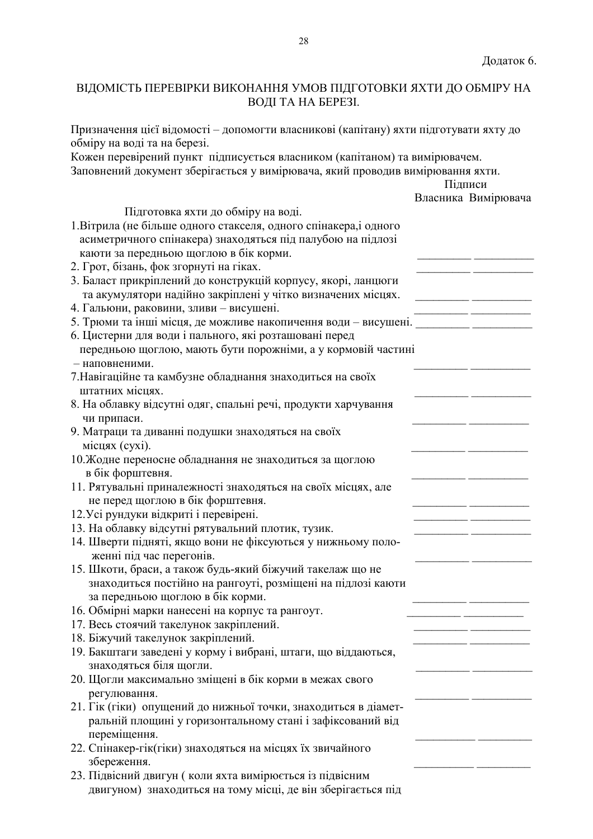# ВІДОМІСТЬ ПЕРЕВІРКИ ВИКОНАННЯ УМОВ ПІДГОТОВКИ ЯХТИ ДО ОБМІРУ НА ВОДІ ТА НА БЕРЕЗІ.

Призначення цієї відомості - допомогти власникові (капітану) яхти підготувати яхту до обміру на воді та на березі.

Кожен перевірений пункт підписується власником (капітаном) та вимірювачем. Заповнений документ зберігається у вимірювача, який проводив вимірювання яхти.

|                                                                                                                               | Підписи |                     |
|-------------------------------------------------------------------------------------------------------------------------------|---------|---------------------|
|                                                                                                                               |         | Власника Вимірювача |
| Підготовка яхти до обміру на воді.                                                                                            |         |                     |
| 1. Вітрила (не більше одного стакселя, одного спінакера, і одного                                                             |         |                     |
| асиметричного спінакера) знаходяться під палубою на підлозі                                                                   |         |                     |
| каюти за передньою щоглою в бік корми.                                                                                        |         |                     |
| 2. Грот, бізань, фок згорнуті на гіках.                                                                                       |         |                     |
| 3. Баласт прикріплений до конструкцій корпусу, якорі, ланцюги                                                                 |         |                     |
| та акумулятори надійно закріплені у чітко визначених місцях.                                                                  |         |                     |
| 4. Гальюни, раковини, зливи - висушені.                                                                                       |         |                     |
| 5. Трюми та інші місця, де можливе накопичення води - висушені. _________________                                             |         |                     |
| 6. Цистерни для води і пального, які розташовані перед                                                                        |         |                     |
| передньою щоглою, мають бути порожніми, а у кормовій частині                                                                  |         |                     |
| - наповненими.                                                                                                                |         |                     |
| 7. Навігаційне та камбузне обладнання знаходиться на своїх                                                                    |         |                     |
| штатних місцях.                                                                                                               |         |                     |
| 8. На облавку відсутні одяг, спальні речі, продукти харчування                                                                |         |                     |
| чи припаси.                                                                                                                   |         |                     |
| 9. Матраци та диванні подушки знаходяться на своїх                                                                            |         |                     |
| місцях (сухі).                                                                                                                |         |                     |
| 10. Жодне переносне обладнання не знаходиться за щоглою                                                                       |         |                     |
| в бік форштевня.                                                                                                              |         |                     |
| 11. Рятувальні приналежності знаходяться на своїх місцях, але                                                                 |         |                     |
| не перед щоглою в бік форштевня.                                                                                              |         |                     |
| 12. Усі рундуки відкриті і перевірені.                                                                                        |         |                     |
| 13. На облавку відсутні рятувальний плотик, тузик.                                                                            |         |                     |
| 14. Шверти підняті, якщо вони не фіксуються у нижньому поло-                                                                  |         |                     |
| женні під час перегонів.                                                                                                      |         |                     |
| 15. Шкоти, браси, а також будь-який біжучий такелаж що не                                                                     |         |                     |
| знаходиться постійно на рангоуті, розміщені на підлозі каюти                                                                  |         |                     |
| за передньою щоглою в бік корми.                                                                                              |         |                     |
| 16. Обмірні марки нанесені на корпус та рангоут.                                                                              |         |                     |
| 17. Весь стоячий такелунок закріплений.                                                                                       |         |                     |
| 18. Біжучий такелунок закріплений.                                                                                            |         |                     |
| 19. Бакштаги заведені у корму і вибрані, штаги, що віддаються,                                                                |         |                     |
| знаходяться біля щогли.                                                                                                       |         |                     |
| 20. Щогли максимально зміщені в бік корми в межах свого                                                                       |         |                     |
| регулювання.                                                                                                                  |         |                     |
|                                                                                                                               |         |                     |
| 21. Гік (гіки) опущений до нижньої точки, знаходиться в діамет-<br>ральній площині у горизонтальному стані і зафіксований від |         |                     |
|                                                                                                                               |         |                     |
| переміщення.                                                                                                                  |         |                     |
| 22. Спінакер-гік(гіки) знаходяться на місцях їх звичайного                                                                    |         |                     |
| збереження.                                                                                                                   |         |                     |
| 23. Підвісний двигун (коли яхта вимірюється із підвісним                                                                      |         |                     |
| двигуном) знаходиться на тому місці, де він зберігається під                                                                  |         |                     |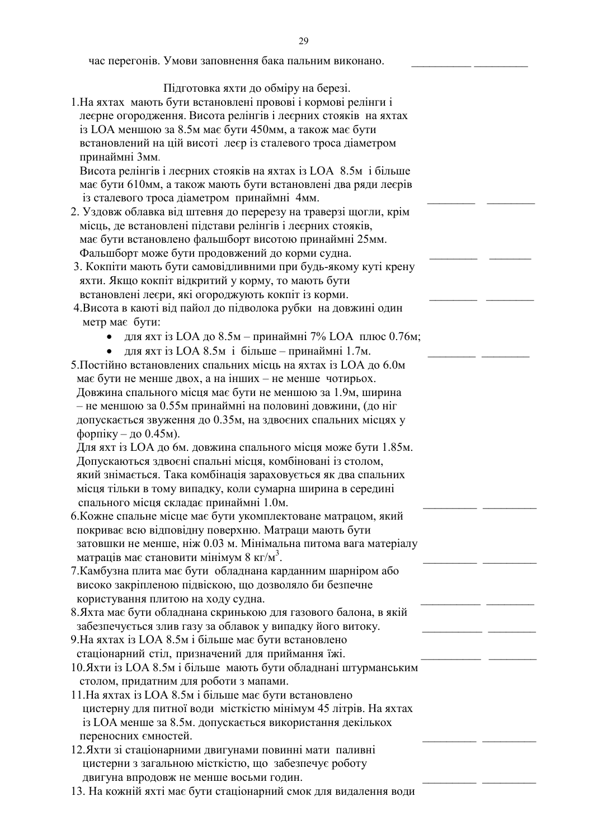час перегонів. Умови заповнення бака пальним виконано.

Підготовка яхти до обміру на березі.

1. На яхтах мають бути встановлені провові і кормові релінги і леєрне огородження. Висота релінгів і леєрних стояків на яхтах із LOA меншою за 8.5м має бути 450мм, а також має бути встановлений на цій висоті леєр із сталевого троса діаметром принаймні Змм.

Висота релінгів і леєрних стояків на яхтах із LOA 8.5м і більше має бути 610мм, а також мають бути встановлені два ряди леєрів із сталевого троса діаметром принаймні 4мм.

- 2. Уздовж облавка від штевня до перерезу на траверзі щогли, крім місць, де встановлені підстави релінгів і леєрних стояків, має бути встановлено фальшборт висотою принаймні 25мм. Фальшборт може бути продовжений до корми судна.
- 3. Кокпіти мають бути самовідливними при будь-якому куті крену яхти. Якщо кокпіт відкритий у корму, то мають бути встановлені леєри, які огороджують кокпіт із корми.
- 4. Висота в каюті від пайол до підволока рубки на довжині один метр має бути:
	- для яхт із LOA до 8.5м принаймні 7% LOA плюс 0.76м;
	- для яхт із LOA 8.5м і більше принаймні 1.7м.
- 5. Постійно встановлених спальних місць на яхтах із LOA до 6.0м має бути не менше двох, а на інших – не менше чотирьох. Довжина спального місця має бути не меншою за 1.9м, ширина - не меншою за 0.55м принаймні на половині довжини, (до ніг допускається звуження до 0.35м, на здвоєних спальних місцях у форпіку  $-$  до 0.45м).

Для яхт із LOA до 6м. довжина спального місця може бути 1.85м. Допускаються здвоєні спальні місця, комбіновані із столом, який знімається. Така комбінація зараховується як два спальних місця тільки в тому випадку, коли сумарна ширина в середині спального місця складає принаймні 1.0м.

- 6. Кожне спальне місце має бути укомплектоване матрацом, який покриває всю відповідну поверхню. Матраци мають бути затовшки не менше, ніж 0.03 м. Мінімальна питома вага матеріалу матраців має становити мінімум 8 кг/м<sup>3</sup>.
- 7. Камбузна плита має бути обладнана карданним шарніром або високо закріпленою підвіскою, що дозволяло би безпечне користування плитою на ходу судна.
- 8. Яхта має бути обладнана скринькою для газового балона, в якій забезпечується злив газу за облавок у випадку його витоку.
- 9. На яхтах із LOA 8.5м і більше має бути встановлено стаціонарний стіл, призначений для приймання їжі.
- 10. Яхти із LOA 8.5м і більше мають бути обладнані штурманським столом, придатним для роботи з мапами.
- 11. На яхтах із LOA 8.5м і більше має бути встановлено цистерну для питної води місткістю мінімум 45 літрів. На яхтах із LOA менше за 8.5м. допускається використання декількох переносних ємностей.
- 12. Яхти зі стаціонарними двигунами повинні мати паливні цистерни з загальною місткістю, що забезпечує роботу двигуна впродовж не менше восьми годин.
- 13. На кожній яхті має бути стаціонарний смок для видалення води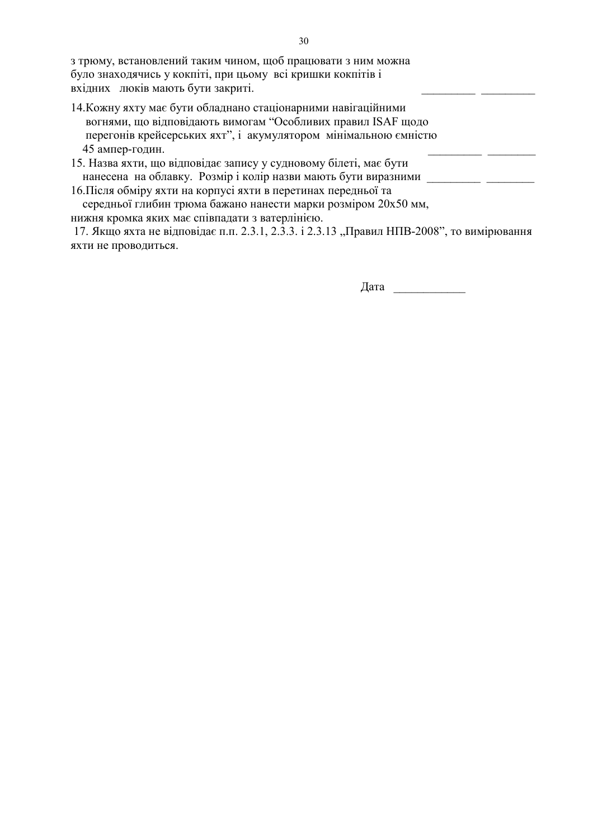з трюму, встановлений таким чином, щоб працювати з ним можна було знаходячись у кокпіті, при цьому всі кришки кокпітів і вхідних люків мають бути закриті.

- 14. Кожну яхту має бути обладнано стаціонарними навігаційними вогнями, що відповідають вимогам "Особливих правил ISAF щодо перегонів крейсерських яхт", і акумулятором мінімальною ємністю 45 ампер-годин.
- 15. Назва яхти, що відповідає запису у судновому білеті, має бути 16. Після обміру яхти на корпусі яхти в перетинах передньої та

середньої глибин трюма бажано нанести марки розміром 20х50 мм, нижня кромка яких має співпадати з ватерлінією.

17. Якщо яхта не відповідає п.п. 2.3.1, 2.3.3. і 2.3.13 "Правил НПВ-2008", то вимірювання яхти не проводиться.

Дата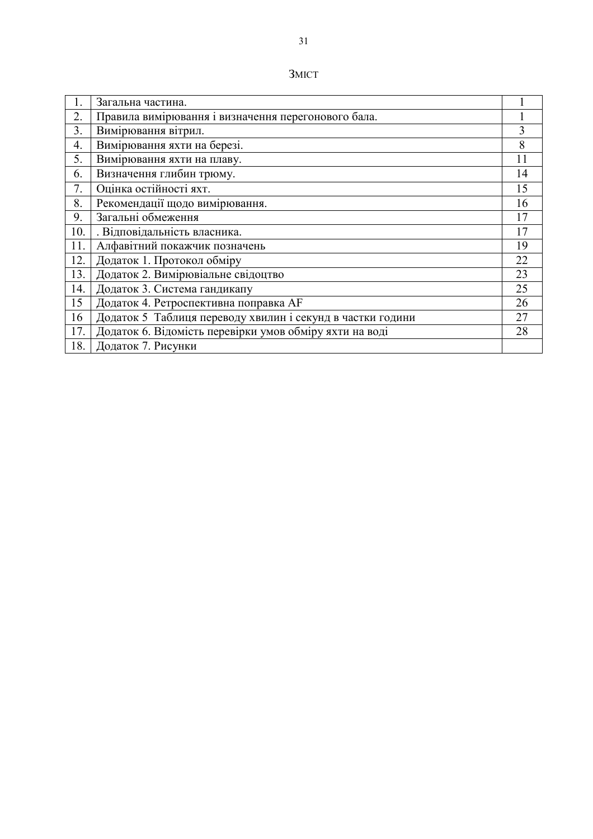| MI |  |
|----|--|
|    |  |
|    |  |

| 1.               | Загальна частина.                                          |    |
|------------------|------------------------------------------------------------|----|
| 2.               | Правила вимірювання і визначення перегонового бала.        |    |
| 3.               | Вимірювання вітрил.                                        | 3  |
| $\overline{4}$ . | Вимірювання яхти на березі.                                | 8  |
| 5.               | Вимірювання яхти на плаву.                                 | 11 |
| 6.               | Визначення глибин трюму.                                   | 14 |
| 7.               | Оцінка остійності яхт.                                     | 15 |
| 8.               | Рекомендації щодо вимірювання.                             | 16 |
| 9.               | Загальні обмеження                                         | 17 |
| 10.              | . Відповідальність власника.                               | 17 |
| 11.              | Алфавітний покажчик позначень                              | 19 |
| 12.              | Додаток 1. Протокол обміру                                 | 22 |
| 13.              | Додаток 2. Вимірювіальне свідоцтво                         | 23 |
| 14.              | Додаток 3. Система гандикапу                               | 25 |
| 15               | Додаток 4. Ретроспективна поправка АF                      | 26 |
| 16               | Додаток 5 Таблиця переводу хвилин і секунд в частки години | 27 |
| 17.              | Додаток 6. Відомість перевірки умов обміру яхти на воді    | 28 |
| 18.              | Додаток 7. Рисунки                                         |    |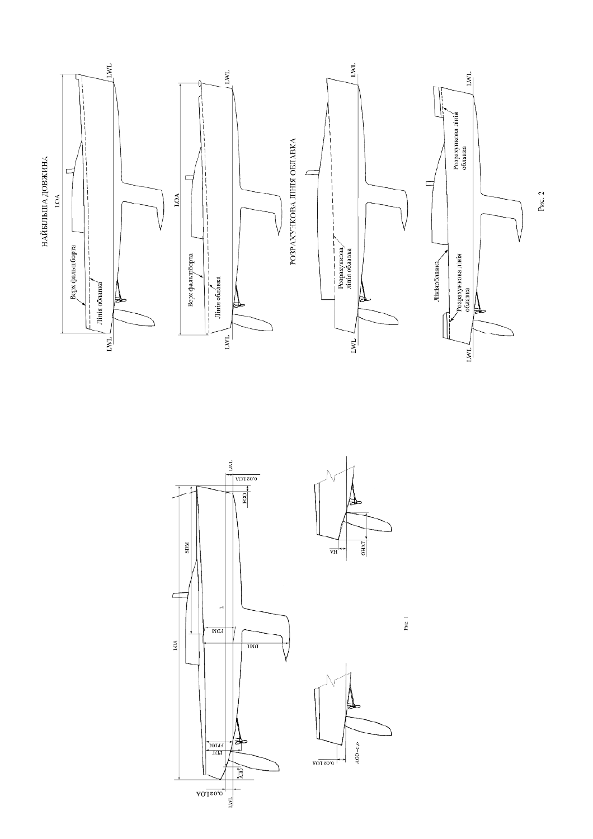





 $ACO = 0,0$ 

PHC. 1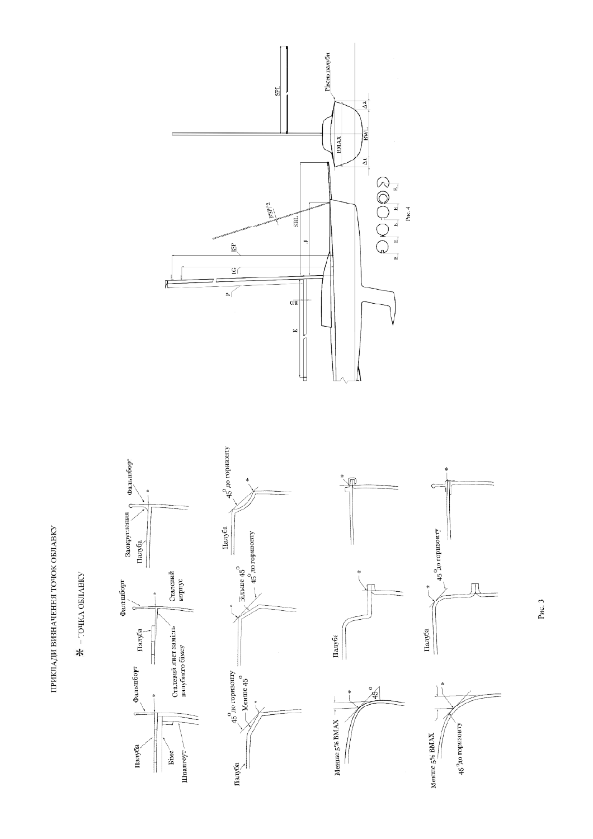ПРИКЛАДИ ВИЗНАЧЕННЯ ТОЧОК ОБЛАВКУ

 $\bigstar$  = точка облавку



Палуба

Ĭ

Рис. 3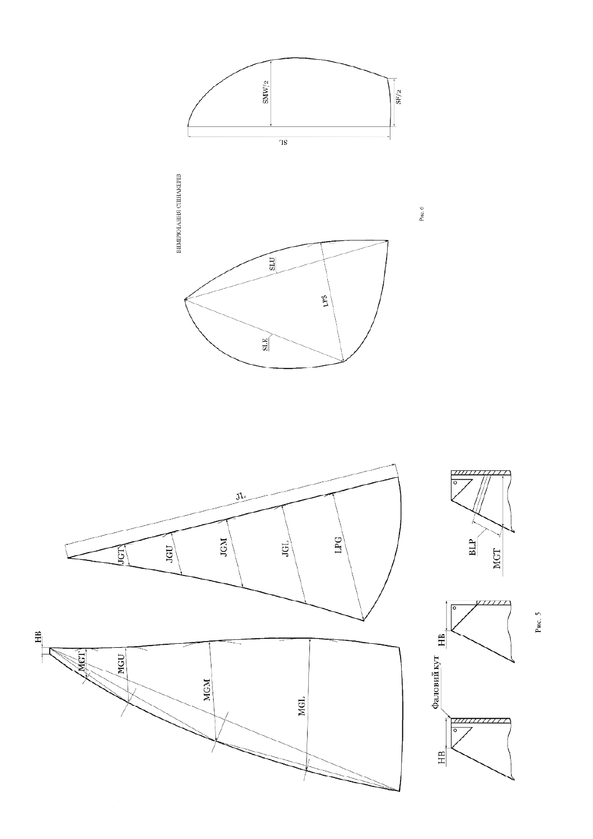



Рис. 5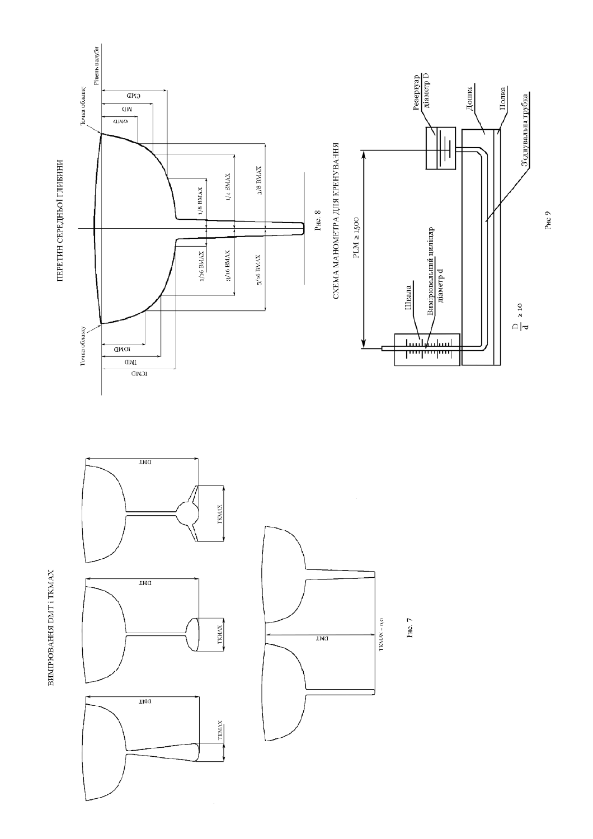



ВИМГРЮВАННЯ DMT і ТКМАХ



Рис. 7

P<sub>HC</sub><sub>9</sub>